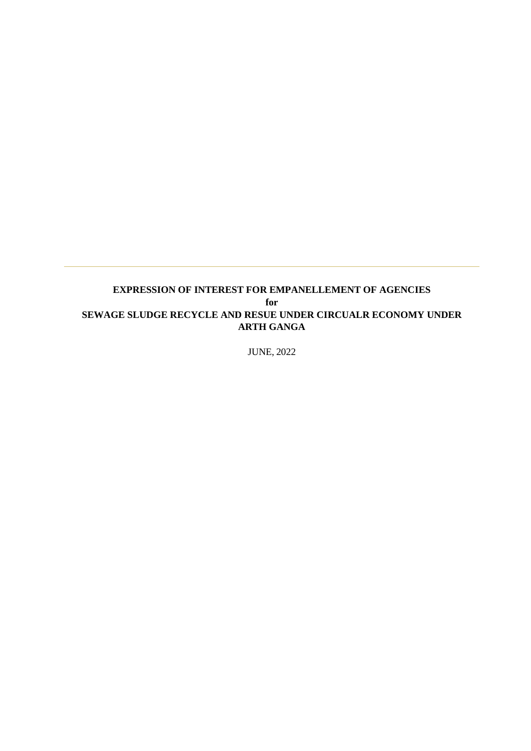## **EXPRESSION OF INTEREST FOR EMPANELLEMENT OF AGENCIES for SEWAGE SLUDGE RECYCLE AND RESUE UNDER CIRCUALR ECONOMY UNDER ARTH GANGA**

JUNE, 2022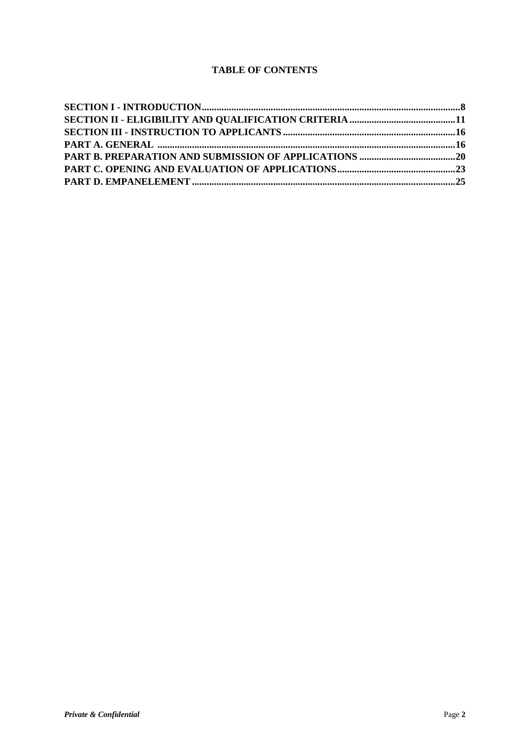## **TABLE OF CONTENTS**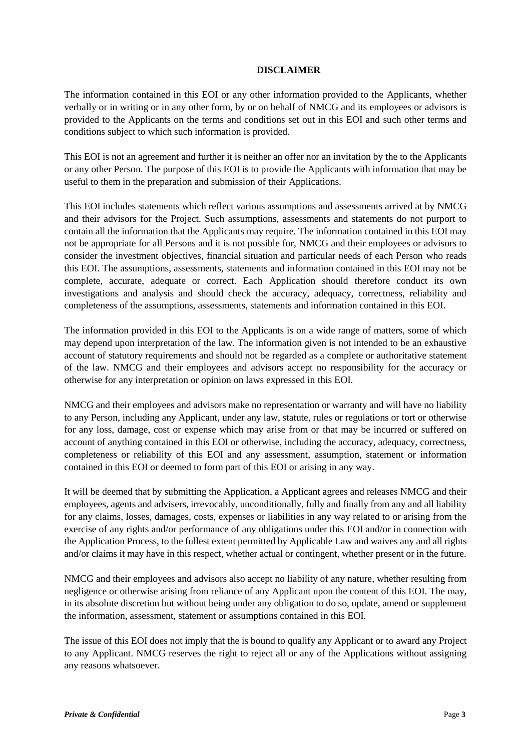#### **DISCLAIMER**

The information contained in this EOI or any other information provided to the Applicants, whether verbally or in writing or in any other form, by or on behalf of NMCG and its employees or advisors is provided to the Applicants on the terms and conditions set out in this EOI and such other terms and conditions subject to which such information is provided.

This EOI is not an agreement and further it is neither an offer nor an invitation by the to the Applicants or any other Person. The purpose of this EOI is to provide the Applicants with information that may be useful to them in the preparation and submission of their Applications.

This EOI includes statements which reflect various assumptions and assessments arrived at by NMCG and their advisors for the Project. Such assumptions, assessments and statements do not purport to contain all the information that the Applicants may require. The information contained in this EOI may not be appropriate for all Persons and it is not possible for, NMCG and their employees or advisors to consider the investment objectives, financial situation and particular needs of each Person who reads this EOI. The assumptions, assessments, statements and information contained in this EOI may not be complete, accurate, adequate or correct. Each Application should therefore conduct its own investigations and analysis and should check the accuracy, adequacy, correctness, reliability and completeness of the assumptions, assessments, statements and information contained in this EOI.

The information provided in this EOI to the Applicants is on a wide range of matters, some of which may depend upon interpretation of the law. The information given is not intended to be an exhaustive account of statutory requirements and should not be regarded as a complete or authoritative statement of the law. NMCG and their employees and advisors accept no responsibility for the accuracy or otherwise for any interpretation or opinion on laws expressed in this EOI.

NMCG and their employees and advisors make no representation or warranty and will have no liability to any Person, including any Applicant, under any law, statute, rules or regulations or tort or otherwise for any loss, damage, cost or expense which may arise from or that may be incurred or suffered on account of anything contained in this EOI or otherwise, including the accuracy, adequacy, correctness, completeness or reliability of this EOI and any assessment, assumption, statement or information contained in this EOI or deemed to form part of this EOI or arising in any way.

It will be deemed that by submitting the Application, a Applicant agrees and releases NMCG and their employees, agents and advisers, irrevocably, unconditionally, fully and finally from any and all liability for any claims, losses, damages, costs, expenses or liabilities in any way related to or arising from the exercise of any rights and/or performance of any obligations under this EOI and/or in connection with the Application Process, to the fullest extent permitted by Applicable Law and waives any and all rights and/or claims it may have in this respect, whether actual or contingent, whether present or in the future.

NMCG and their employees and advisors also accept no liability of any nature, whether resulting from negligence or otherwise arising from reliance of any Applicant upon the content of this EOI. The may, in its absolute discretion but without being under any obligation to do so, update, amend or supplement the information, assessment, statement or assumptions contained in this EOI.

The issue of this EOI does not imply that the is bound to qualify any Applicant or to award any Project to any Applicant. NMCG reserves the right to reject all or any of the Applications without assigning any reasons whatsoever.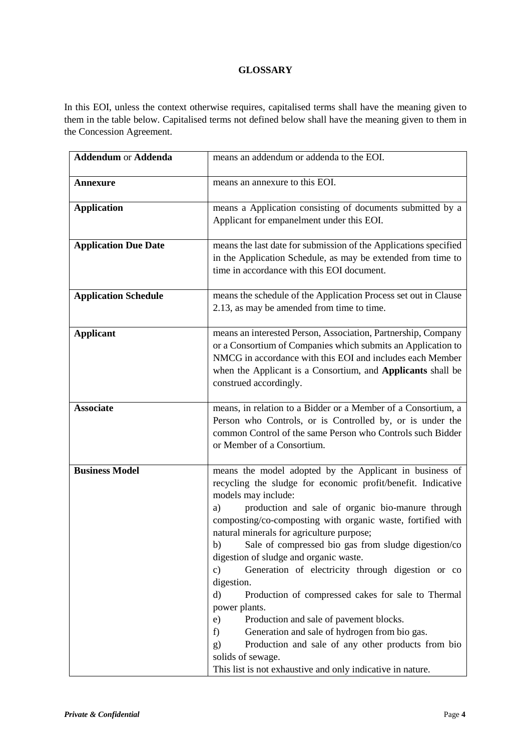## **GLOSSARY**

In this EOI, unless the context otherwise requires, capitalised terms shall have the meaning given to them in the table below. Capitalised terms not defined below shall have the meaning given to them in the Concession Agreement.

| <b>Addendum or Addenda</b>  | means an addendum or addenda to the EOI.                                                                                                                                                                                                                                                                                                                                                                                                                                                                                                                                                                                                                                                                                                                                                                                                             |
|-----------------------------|------------------------------------------------------------------------------------------------------------------------------------------------------------------------------------------------------------------------------------------------------------------------------------------------------------------------------------------------------------------------------------------------------------------------------------------------------------------------------------------------------------------------------------------------------------------------------------------------------------------------------------------------------------------------------------------------------------------------------------------------------------------------------------------------------------------------------------------------------|
| <b>Annexure</b>             | means an annexure to this EOI.                                                                                                                                                                                                                                                                                                                                                                                                                                                                                                                                                                                                                                                                                                                                                                                                                       |
| <b>Application</b>          | means a Application consisting of documents submitted by a<br>Applicant for empanelment under this EOI.                                                                                                                                                                                                                                                                                                                                                                                                                                                                                                                                                                                                                                                                                                                                              |
| <b>Application Due Date</b> | means the last date for submission of the Applications specified<br>in the Application Schedule, as may be extended from time to<br>time in accordance with this EOI document.                                                                                                                                                                                                                                                                                                                                                                                                                                                                                                                                                                                                                                                                       |
| <b>Application Schedule</b> | means the schedule of the Application Process set out in Clause<br>2.13, as may be amended from time to time.                                                                                                                                                                                                                                                                                                                                                                                                                                                                                                                                                                                                                                                                                                                                        |
| <b>Applicant</b>            | means an interested Person, Association, Partnership, Company<br>or a Consortium of Companies which submits an Application to<br>NMCG in accordance with this EOI and includes each Member<br>when the Applicant is a Consortium, and Applicants shall be<br>construed accordingly.                                                                                                                                                                                                                                                                                                                                                                                                                                                                                                                                                                  |
| <b>Associate</b>            | means, in relation to a Bidder or a Member of a Consortium, a<br>Person who Controls, or is Controlled by, or is under the<br>common Control of the same Person who Controls such Bidder<br>or Member of a Consortium.                                                                                                                                                                                                                                                                                                                                                                                                                                                                                                                                                                                                                               |
| <b>Business Model</b>       | means the model adopted by the Applicant in business of<br>recycling the sludge for economic profit/benefit. Indicative<br>models may include:<br>production and sale of organic bio-manure through<br>a)<br>composting/co-composting with organic waste, fortified with<br>natural minerals for agriculture purpose;<br>Sale of compressed bio gas from sludge digestion/co<br>b)<br>digestion of sludge and organic waste.<br>$\mathbf{c})$<br>Generation of electricity through digestion or co<br>digestion.<br>d)<br>Production of compressed cakes for sale to Thermal<br>power plants.<br>Production and sale of pavement blocks.<br>e)<br>Generation and sale of hydrogen from bio gas.<br>f)<br>Production and sale of any other products from bio<br>g)<br>solids of sewage.<br>This list is not exhaustive and only indicative in nature. |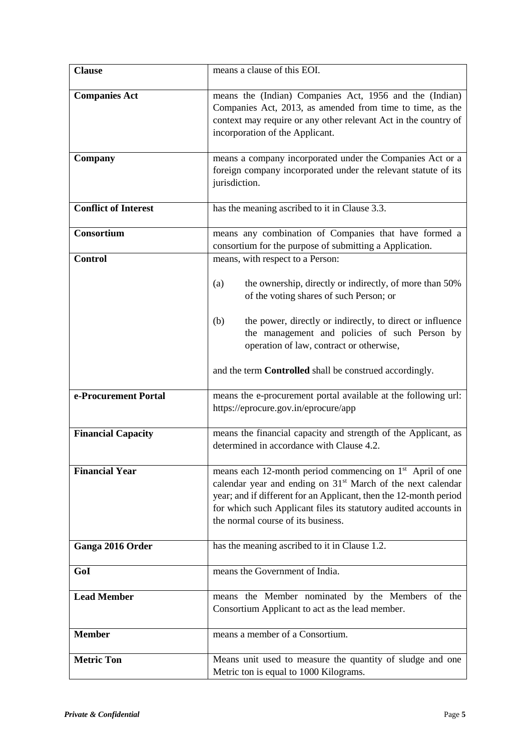| <b>Clause</b>               | means a clause of this EOI.                                                                                                                                                                                                                                                                                                     |  |  |  |
|-----------------------------|---------------------------------------------------------------------------------------------------------------------------------------------------------------------------------------------------------------------------------------------------------------------------------------------------------------------------------|--|--|--|
| <b>Companies Act</b>        | means the (Indian) Companies Act, 1956 and the (Indian)<br>Companies Act, 2013, as amended from time to time, as the<br>context may require or any other relevant Act in the country of<br>incorporation of the Applicant.                                                                                                      |  |  |  |
| Company                     | means a company incorporated under the Companies Act or a<br>foreign company incorporated under the relevant statute of its<br>jurisdiction.                                                                                                                                                                                    |  |  |  |
| <b>Conflict of Interest</b> | has the meaning ascribed to it in Clause 3.3.                                                                                                                                                                                                                                                                                   |  |  |  |
| Consortium                  | means any combination of Companies that have formed a<br>consortium for the purpose of submitting a Application.                                                                                                                                                                                                                |  |  |  |
| <b>Control</b>              | means, with respect to a Person:                                                                                                                                                                                                                                                                                                |  |  |  |
|                             | the ownership, directly or indirectly, of more than 50%<br>(a)<br>of the voting shares of such Person; or                                                                                                                                                                                                                       |  |  |  |
|                             | the power, directly or indirectly, to direct or influence<br>(b)<br>the management and policies of such Person by<br>operation of law, contract or otherwise,                                                                                                                                                                   |  |  |  |
|                             | and the term <b>Controlled</b> shall be construed accordingly.                                                                                                                                                                                                                                                                  |  |  |  |
| e-Procurement Portal        | means the e-procurement portal available at the following url:<br>https://eprocure.gov.in/eprocure/app                                                                                                                                                                                                                          |  |  |  |
| <b>Financial Capacity</b>   | means the financial capacity and strength of the Applicant, as<br>determined in accordance with Clause 4.2.                                                                                                                                                                                                                     |  |  |  |
| <b>Financial Year</b>       | means each 12-month period commencing on 1 <sup>st</sup> April of one<br>calendar year and ending on 31 <sup>st</sup> March of the next calendar<br>year; and if different for an Applicant, then the 12-month period<br>for which such Applicant files its statutory audited accounts in<br>the normal course of its business. |  |  |  |
| Ganga 2016 Order            | has the meaning ascribed to it in Clause 1.2.                                                                                                                                                                                                                                                                                   |  |  |  |
| GoI                         | means the Government of India.                                                                                                                                                                                                                                                                                                  |  |  |  |
| <b>Lead Member</b>          | means the Member nominated by the Members of the<br>Consortium Applicant to act as the lead member.                                                                                                                                                                                                                             |  |  |  |
| <b>Member</b>               | means a member of a Consortium.                                                                                                                                                                                                                                                                                                 |  |  |  |
| <b>Metric Ton</b>           | Means unit used to measure the quantity of sludge and one<br>Metric ton is equal to 1000 Kilograms.                                                                                                                                                                                                                             |  |  |  |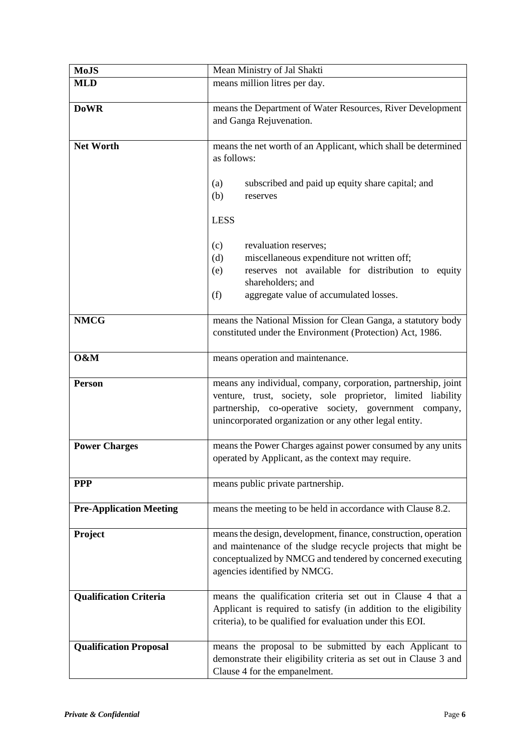| <b>MoJS</b>                    | Mean Ministry of Jal Shakti                                                                                                                                                                                                                       |  |  |  |
|--------------------------------|---------------------------------------------------------------------------------------------------------------------------------------------------------------------------------------------------------------------------------------------------|--|--|--|
| <b>MLD</b>                     | means million litres per day.                                                                                                                                                                                                                     |  |  |  |
| <b>DoWR</b>                    | means the Department of Water Resources, River Development<br>and Ganga Rejuvenation.                                                                                                                                                             |  |  |  |
| <b>Net Worth</b>               | means the net worth of an Applicant, which shall be determined<br>as follows:<br>subscribed and paid up equity share capital; and<br>(a)<br>(b)<br>reserves                                                                                       |  |  |  |
|                                | <b>LESS</b>                                                                                                                                                                                                                                       |  |  |  |
|                                | revaluation reserves;<br>(c)<br>miscellaneous expenditure not written off;<br>(d)<br>reserves not available for distribution to equity<br>(e)<br>shareholders; and<br>(f)<br>aggregate value of accumulated losses.                               |  |  |  |
| <b>NMCG</b>                    | means the National Mission for Clean Ganga, a statutory body<br>constituted under the Environment (Protection) Act, 1986.                                                                                                                         |  |  |  |
| O&M                            | means operation and maintenance.                                                                                                                                                                                                                  |  |  |  |
| <b>Person</b>                  | means any individual, company, corporation, partnership, joint<br>venture, trust, society, sole proprietor, limited liability<br>partnership, co-operative society, government company,<br>unincorporated organization or any other legal entity. |  |  |  |
| <b>Power Charges</b>           | means the Power Charges against power consumed by any units<br>operated by Applicant, as the context may require.                                                                                                                                 |  |  |  |
| <b>PPP</b>                     | means public private partnership.                                                                                                                                                                                                                 |  |  |  |
| <b>Pre-Application Meeting</b> | means the meeting to be held in accordance with Clause 8.2.                                                                                                                                                                                       |  |  |  |
| Project                        | means the design, development, finance, construction, operation<br>and maintenance of the sludge recycle projects that might be<br>conceptualized by NMCG and tendered by concerned executing<br>agencies identified by NMCG.                     |  |  |  |
| <b>Qualification Criteria</b>  | means the qualification criteria set out in Clause 4 that a<br>Applicant is required to satisfy (in addition to the eligibility<br>criteria), to be qualified for evaluation under this EOI.                                                      |  |  |  |
| <b>Qualification Proposal</b>  | means the proposal to be submitted by each Applicant to<br>demonstrate their eligibility criteria as set out in Clause 3 and<br>Clause 4 for the empanelment.                                                                                     |  |  |  |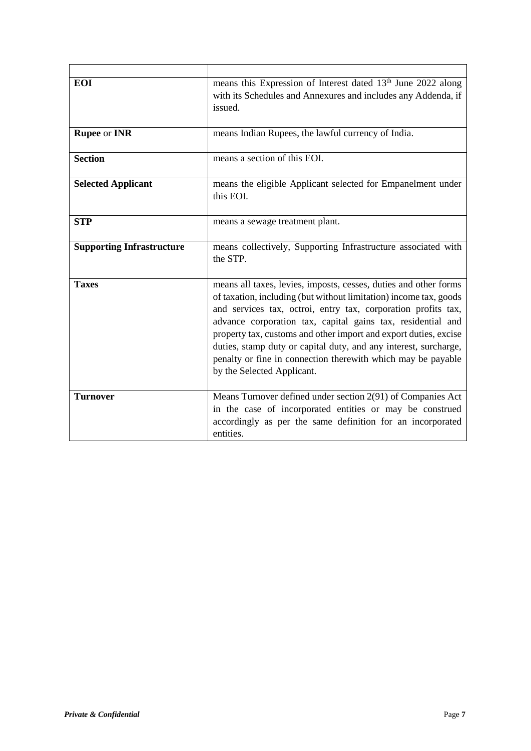| <b>EOI</b>                       | means this Expression of Interest dated 13 <sup>th</sup> June 2022 along<br>with its Schedules and Annexures and includes any Addenda, if<br>issued.                                                                                                                                                                                                                                                                                                                                                        |
|----------------------------------|-------------------------------------------------------------------------------------------------------------------------------------------------------------------------------------------------------------------------------------------------------------------------------------------------------------------------------------------------------------------------------------------------------------------------------------------------------------------------------------------------------------|
| <b>Rupee or INR</b>              | means Indian Rupees, the lawful currency of India.                                                                                                                                                                                                                                                                                                                                                                                                                                                          |
| <b>Section</b>                   | means a section of this EOI.                                                                                                                                                                                                                                                                                                                                                                                                                                                                                |
| <b>Selected Applicant</b>        | means the eligible Applicant selected for Empanelment under<br>this EOI.                                                                                                                                                                                                                                                                                                                                                                                                                                    |
| <b>STP</b>                       | means a sewage treatment plant.                                                                                                                                                                                                                                                                                                                                                                                                                                                                             |
| <b>Supporting Infrastructure</b> | means collectively, Supporting Infrastructure associated with<br>the STP.                                                                                                                                                                                                                                                                                                                                                                                                                                   |
| <b>Taxes</b>                     | means all taxes, levies, imposts, cesses, duties and other forms<br>of taxation, including (but without limitation) income tax, goods<br>and services tax, octroi, entry tax, corporation profits tax,<br>advance corporation tax, capital gains tax, residential and<br>property tax, customs and other import and export duties, excise<br>duties, stamp duty or capital duty, and any interest, surcharge,<br>penalty or fine in connection therewith which may be payable<br>by the Selected Applicant. |
| <b>Turnover</b>                  | Means Turnover defined under section 2(91) of Companies Act<br>in the case of incorporated entities or may be construed<br>accordingly as per the same definition for an incorporated<br>entities.                                                                                                                                                                                                                                                                                                          |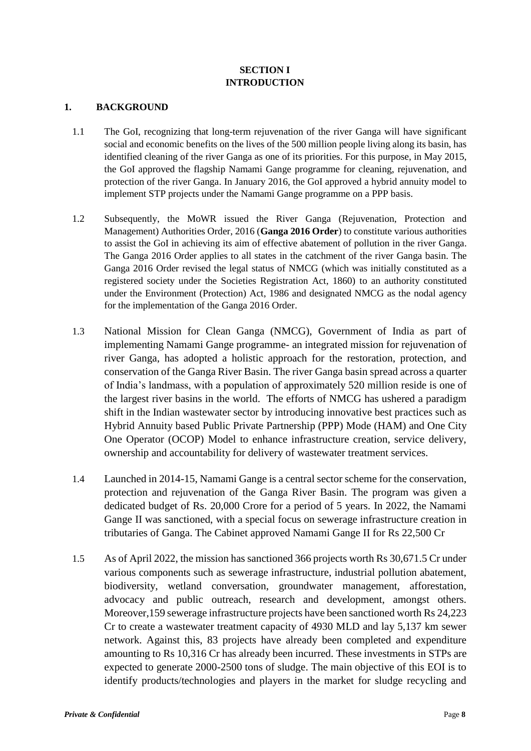## **SECTION I INTRODUCTION**

## <span id="page-7-0"></span>**1. BACKGROUND**

- 1.1 The GoI, recognizing that long-term rejuvenation of the river Ganga will have significant social and economic benefits on the lives of the 500 million people living along its basin, has identified cleaning of the river Ganga as one of its priorities. For this purpose, in May 2015, the GoI approved the flagship Namami Gange programme for cleaning, rejuvenation, and protection of the river Ganga. In January 2016, the GoI approved a hybrid annuity model to implement STP projects under the Namami Gange programme on a PPP basis.
- 1.2 Subsequently, the MoWR issued the River Ganga (Rejuvenation, Protection and Management) Authorities Order, 2016 (**Ganga 2016 Order**) to constitute various authorities to assist the GoI in achieving its aim of effective abatement of pollution in the river Ganga. The Ganga 2016 Order applies to all states in the catchment of the river Ganga basin. The Ganga 2016 Order revised the legal status of NMCG (which was initially constituted as a registered society under the Societies Registration Act, 1860) to an authority constituted under the Environment (Protection) Act, 1986 and designated NMCG as the nodal agency for the implementation of the Ganga 2016 Order.
- 1.3 National Mission for Clean Ganga (NMCG), Government of India as part of implementing Namami Gange programme- an integrated mission for rejuvenation of river Ganga, has adopted a holistic approach for the restoration, protection, and conservation of the Ganga River Basin. The river Ganga basin spread across a quarter of India's landmass, with a population of approximately 520 million reside is one of the largest river basins in the world. The efforts of NMCG has ushered a paradigm shift in the Indian wastewater sector by introducing innovative best practices such as Hybrid Annuity based Public Private Partnership (PPP) Mode (HAM) and One City One Operator (OCOP) Model to enhance infrastructure creation, service delivery, ownership and accountability for delivery of wastewater treatment services.
- 1.4 Launched in 2014-15, Namami Gange is a central sector scheme for the conservation, protection and rejuvenation of the Ganga River Basin. The program was given a dedicated budget of Rs. 20,000 Crore for a period of 5 years. In 2022, the Namami Gange II was sanctioned, with a special focus on sewerage infrastructure creation in tributaries of Ganga. The Cabinet approved Namami Gange II for Rs 22,500 Cr
- 1.5 As of April 2022, the mission has sanctioned 366 projects worth Rs 30,671.5 Cr under various components such as sewerage infrastructure, industrial pollution abatement, biodiversity, wetland conversation, groundwater management, afforestation, advocacy and public outreach, research and development, amongst others. Moreover,159 sewerage infrastructure projects have been sanctioned worth Rs 24,223 Cr to create a wastewater treatment capacity of 4930 MLD and lay 5,137 km sewer network. Against this, 83 projects have already been completed and expenditure amounting to Rs 10,316 Cr has already been incurred. These investments in STPs are expected to generate 2000-2500 tons of sludge. The main objective of this EOI is to identify products/technologies and players in the market for sludge recycling and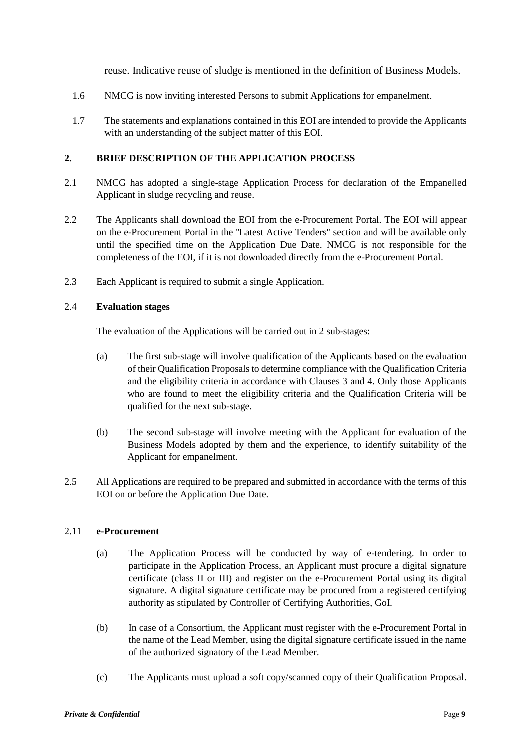reuse. Indicative reuse of sludge is mentioned in the definition of Business Models.

- 1.6 NMCG is now inviting interested Persons to submit Applications for empanelment.
- 1.7 The statements and explanations contained in this EOI are intended to provide the Applicants with an understanding of the subject matter of this EOI.

## **2. BRIEF DESCRIPTION OF THE APPLICATION PROCESS**

- 2.1 NMCG has adopted a single-stage Application Process for declaration of the Empanelled Applicant in sludge recycling and reuse.
- 2.2 The Applicants shall download the EOI from the e-Procurement Portal. The EOI will appear on the e-Procurement Portal in the ''Latest Active Tenders'' section and will be available only until the specified time on the Application Due Date. NMCG is not responsible for the completeness of the EOI, if it is not downloaded directly from the e-Procurement Portal.
- 2.3 Each Applicant is required to submit a single Application.

#### 2.4 **Evaluation stages**

The evaluation of the Applications will be carried out in 2 sub-stages:

- (a) The first sub-stage will involve qualification of the Applicants based on the evaluation of their Qualification Proposals to determine compliance with the Qualification Criteria and the eligibility criteria in accordance with Clauses 3 and 4. Only those Applicants who are found to meet the eligibility criteria and the Qualification Criteria will be qualified for the next sub-stage.
- (b) The second sub-stage will involve meeting with the Applicant for evaluation of the Business Models adopted by them and the experience, to identify suitability of the Applicant for empanelment.
- 2.5 All Applications are required to be prepared and submitted in accordance with the terms of this EOI on or before the Application Due Date.

#### 2.11 **e-Procurement**

- (a) The Application Process will be conducted by way of e-tendering. In order to participate in the Application Process, an Applicant must procure a digital signature certificate (class II or III) and register on the e-Procurement Portal using its digital signature. A digital signature certificate may be procured from a registered certifying authority as stipulated by Controller of Certifying Authorities, GoI.
- (b) In case of a Consortium, the Applicant must register with the e-Procurement Portal in the name of the Lead Member, using the digital signature certificate issued in the name of the authorized signatory of the Lead Member.
- (c) The Applicants must upload a soft copy/scanned copy of their Qualification Proposal.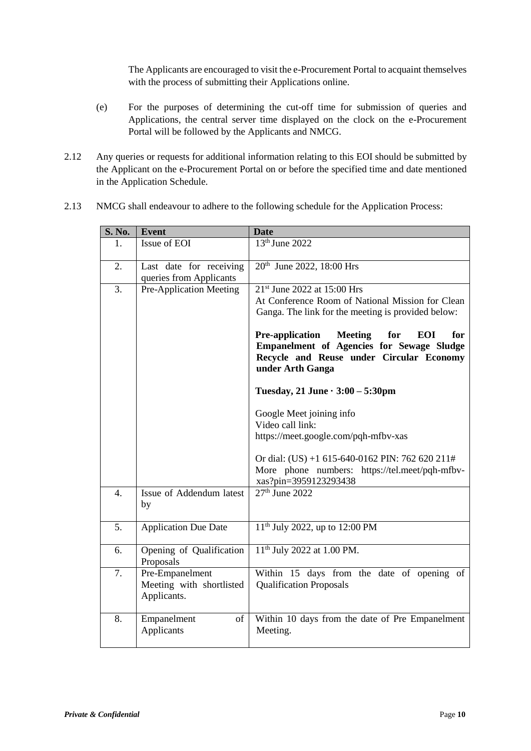The Applicants are encouraged to visit the e-Procurement Portal to acquaint themselves with the process of submitting their Applications online.

- (e) For the purposes of determining the cut-off time for submission of queries and Applications, the central server time displayed on the clock on the e-Procurement Portal will be followed by the Applicants and NMCG.
- 2.12 Any queries or requests for additional information relating to this EOI should be submitted by the Applicant on the e-Procurement Portal on or before the specified time and date mentioned in the Application Schedule.

| S. No. | <b>Event</b>                                               | <b>Date</b>                                                                                                                                                                                                                                                                                                                                                                                                                                                                                                                                                                                            |  |  |
|--------|------------------------------------------------------------|--------------------------------------------------------------------------------------------------------------------------------------------------------------------------------------------------------------------------------------------------------------------------------------------------------------------------------------------------------------------------------------------------------------------------------------------------------------------------------------------------------------------------------------------------------------------------------------------------------|--|--|
| 1.     | Issue of EOI                                               | 13th June 2022                                                                                                                                                                                                                                                                                                                                                                                                                                                                                                                                                                                         |  |  |
| 2.     | Last date for receiving<br>queries from Applicants         | 20 <sup>th</sup> June 2022, 18:00 Hrs                                                                                                                                                                                                                                                                                                                                                                                                                                                                                                                                                                  |  |  |
| 3.     | Pre-Application Meeting                                    | 21 <sup>st</sup> June 2022 at 15:00 Hrs<br>At Conference Room of National Mission for Clean<br>Ganga. The link for the meeting is provided below:<br>for<br><b>Pre-application</b><br><b>Meeting</b><br>for<br><b>EOI</b><br>Empanelment of Agencies for Sewage Sludge<br>Recycle and Reuse under Circular Economy<br>under Arth Ganga<br>Tuesday, 21 June $\cdot$ 3:00 – 5:30pm<br>Google Meet joining info<br>Video call link:<br>https://meet.google.com/pqh-mfbv-xas<br>Or dial: (US) +1 615-640-0162 PIN: 762 620 211#<br>More phone numbers: https://tel.meet/pqh-mfbv-<br>xas?pin=3959123293438 |  |  |
| 4.     | Issue of Addendum latest<br>by                             | $27th$ June 2022                                                                                                                                                                                                                                                                                                                                                                                                                                                                                                                                                                                       |  |  |
| 5.     | <b>Application Due Date</b>                                | $11th$ July 2022, up to 12:00 PM                                                                                                                                                                                                                                                                                                                                                                                                                                                                                                                                                                       |  |  |
| 6.     | Opening of Qualification<br>Proposals                      | 11 <sup>th</sup> July 2022 at 1.00 PM.                                                                                                                                                                                                                                                                                                                                                                                                                                                                                                                                                                 |  |  |
| 7.     | Pre-Empanelment<br>Meeting with shortlisted<br>Applicants. | Within 15 days from the date of opening of<br><b>Qualification Proposals</b>                                                                                                                                                                                                                                                                                                                                                                                                                                                                                                                           |  |  |
| 8.     | Empanelment<br>of<br>Applicants                            | Within 10 days from the date of Pre Empanelment<br>Meeting.                                                                                                                                                                                                                                                                                                                                                                                                                                                                                                                                            |  |  |

2.13 NMCG shall endeavour to adhere to the following schedule for the Application Process: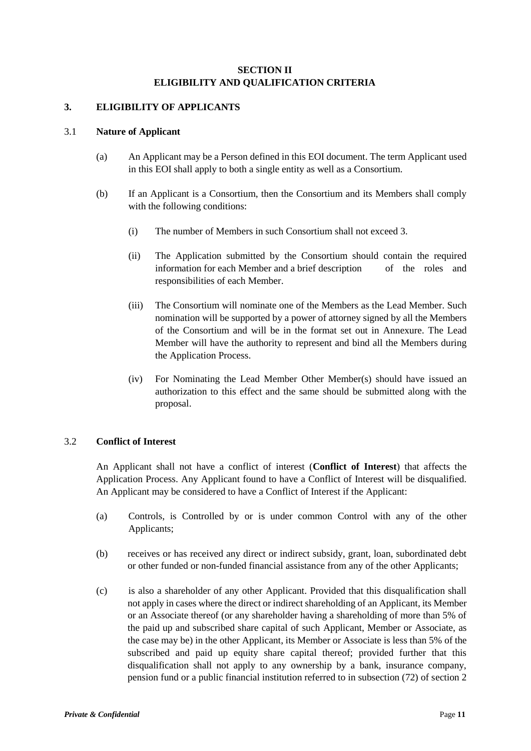## **SECTION II ELIGIBILITY AND QUALIFICATION CRITERIA**

### <span id="page-10-0"></span>**3. ELIGIBILITY OF APPLICANTS**

#### 3.1 **Nature of Applicant**

- (a) An Applicant may be a Person defined in this EOI document. The term Applicant used in this EOI shall apply to both a single entity as well as a Consortium.
- (b) If an Applicant is a Consortium, then the Consortium and its Members shall comply with the following conditions:
	- (i) The number of Members in such Consortium shall not exceed 3.
	- (ii) The Application submitted by the Consortium should contain the required information for each Member and a brief description of the roles and responsibilities of each Member.
	- (iii) The Consortium will nominate one of the Members as the Lead Member. Such nomination will be supported by a power of attorney signed by all the Members of the Consortium and will be in the format set out in Annexure. The Lead Member will have the authority to represent and bind all the Members during the Application Process.
	- (iv) For Nominating the Lead Member Other Member(s) should have issued an authorization to this effect and the same should be submitted along with the proposal.

#### 3.2 **Conflict of Interest**

An Applicant shall not have a conflict of interest (**Conflict of Interest**) that affects the Application Process. Any Applicant found to have a Conflict of Interest will be disqualified. An Applicant may be considered to have a Conflict of Interest if the Applicant:

- (a) Controls, is Controlled by or is under common Control with any of the other Applicants;
- (b) receives or has received any direct or indirect subsidy, grant, loan, subordinated debt or other funded or non-funded financial assistance from any of the other Applicants;
- (c) is also a shareholder of any other Applicant. Provided that this disqualification shall not apply in cases where the direct or indirect shareholding of an Applicant, its Member or an Associate thereof (or any shareholder having a shareholding of more than 5% of the paid up and subscribed share capital of such Applicant, Member or Associate, as the case may be) in the other Applicant, its Member or Associate is less than 5% of the subscribed and paid up equity share capital thereof; provided further that this disqualification shall not apply to any ownership by a bank, insurance company, pension fund or a public financial institution referred to in subsection (72) of section 2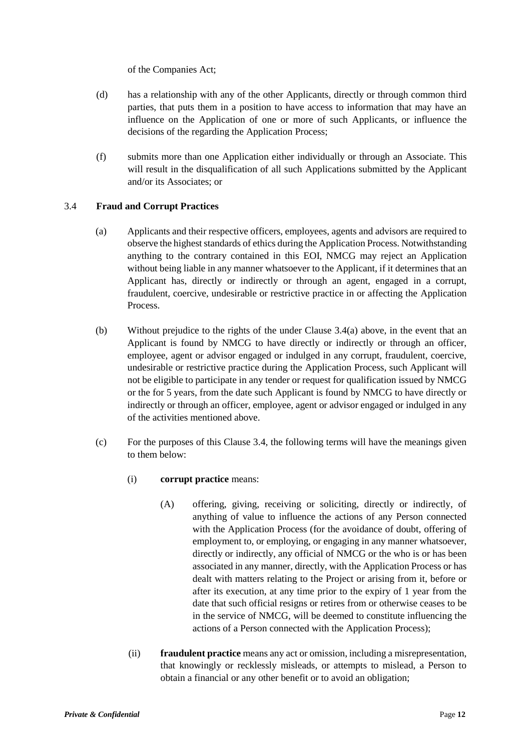of the Companies Act;

- (d) has a relationship with any of the other Applicants, directly or through common third parties, that puts them in a position to have access to information that may have an influence on the Application of one or more of such Applicants, or influence the decisions of the regarding the Application Process;
- (f) submits more than one Application either individually or through an Associate. This will result in the disqualification of all such Applications submitted by the Applicant and/or its Associates; or

## 3.4 **Fraud and Corrupt Practices**

- (a) Applicants and their respective officers, employees, agents and advisors are required to observe the highest standards of ethics during the Application Process. Notwithstanding anything to the contrary contained in this EOI, NMCG may reject an Application without being liable in any manner whatsoever to the Applicant, if it determines that an Applicant has, directly or indirectly or through an agent, engaged in a corrupt, fraudulent, coercive, undesirable or restrictive practice in or affecting the Application Process.
- (b) Without prejudice to the rights of the under Clause 3.4(a) above, in the event that an Applicant is found by NMCG to have directly or indirectly or through an officer, employee, agent or advisor engaged or indulged in any corrupt, fraudulent, coercive, undesirable or restrictive practice during the Application Process, such Applicant will not be eligible to participate in any tender or request for qualification issued by NMCG or the for 5 years, from the date such Applicant is found by NMCG to have directly or indirectly or through an officer, employee, agent or advisor engaged or indulged in any of the activities mentioned above.
- (c) For the purposes of this Clause 3.4, the following terms will have the meanings given to them below:
	- (i) **corrupt practice** means:
		- (A) offering, giving, receiving or soliciting, directly or indirectly, of anything of value to influence the actions of any Person connected with the Application Process (for the avoidance of doubt, offering of employment to, or employing, or engaging in any manner whatsoever, directly or indirectly, any official of NMCG or the who is or has been associated in any manner, directly, with the Application Process or has dealt with matters relating to the Project or arising from it, before or after its execution, at any time prior to the expiry of 1 year from the date that such official resigns or retires from or otherwise ceases to be in the service of NMCG, will be deemed to constitute influencing the actions of a Person connected with the Application Process);
	- (ii) **fraudulent practice** means any act or omission, including a misrepresentation, that knowingly or recklessly misleads, or attempts to mislead, a Person to obtain a financial or any other benefit or to avoid an obligation;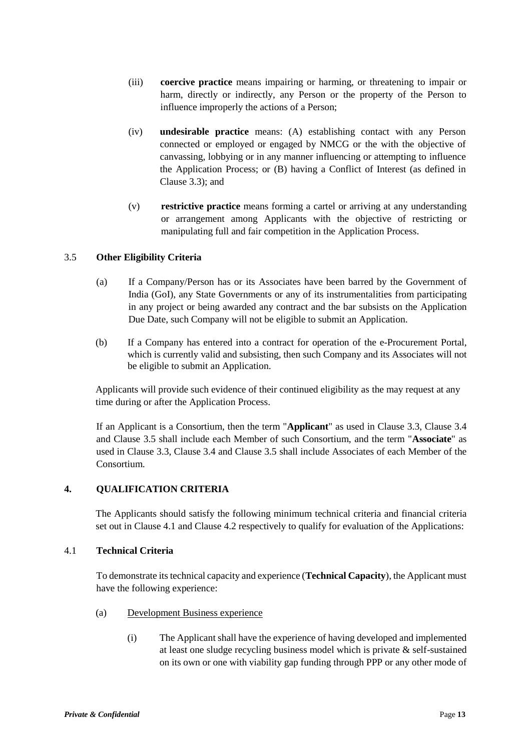- (iii) **coercive practice** means impairing or harming, or threatening to impair or harm, directly or indirectly, any Person or the property of the Person to influence improperly the actions of a Person;
- (iv) **undesirable practice** means: (A) establishing contact with any Person connected or employed or engaged by NMCG or the with the objective of canvassing, lobbying or in any manner influencing or attempting to influence the Application Process; or (B) having a Conflict of Interest (as defined in Clause 3.3); and
- (v) **restrictive practice** means forming a cartel or arriving at any understanding or arrangement among Applicants with the objective of restricting or manipulating full and fair competition in the Application Process.

## 3.5 **Other Eligibility Criteria**

- (a) If a Company/Person has or its Associates have been barred by the Government of India (GoI), any State Governments or any of its instrumentalities from participating in any project or being awarded any contract and the bar subsists on the Application Due Date, such Company will not be eligible to submit an Application.
- (b) If a Company has entered into a contract for operation of the e-Procurement Portal, which is currently valid and subsisting, then such Company and its Associates will not be eligible to submit an Application.

Applicants will provide such evidence of their continued eligibility as the may request at any time during or after the Application Process.

If an Applicant is a Consortium, then the term "**Applicant**" as used in Clause 3.3, Clause 3.4 and Clause 3.5 shall include each Member of such Consortium, and the term "**Associate**" as used in Clause 3.3, Clause 3.4 and Clause 3.5 shall include Associates of each Member of the Consortium.

## **4. QUALIFICATION CRITERIA**

The Applicants should satisfy the following minimum technical criteria and financial criteria set out in Clause 4.1 and Clause 4.2 respectively to qualify for evaluation of the Applications:

#### 4.1 **Technical Criteria**

To demonstrate its technical capacity and experience (**Technical Capacity**), the Applicant must have the following experience:

- (a) Development Business experience
	- (i) The Applicant shall have the experience of having developed and implemented at least one sludge recycling business model which is private  $\&$  self-sustained on its own or one with viability gap funding through PPP or any other mode of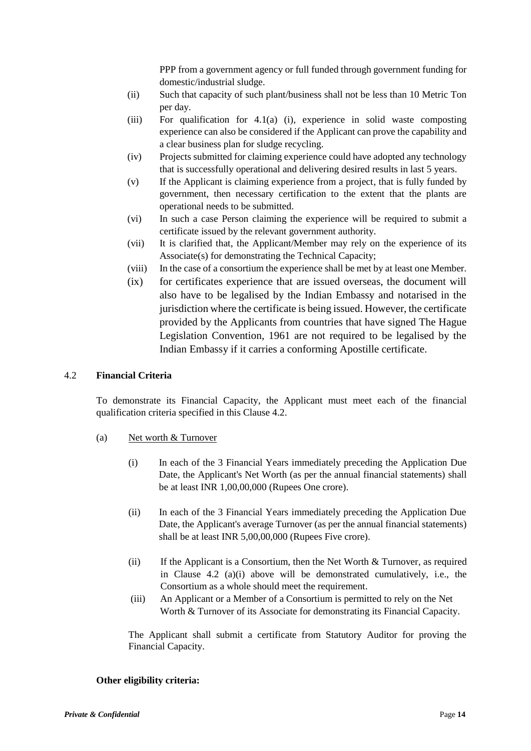PPP from a government agency or full funded through government funding for domestic/industrial sludge.

- (ii) Such that capacity of such plant/business shall not be less than 10 Metric Ton per day.
- (iii) For qualification for  $4.1(a)$  (i), experience in solid waste composting experience can also be considered if the Applicant can prove the capability and a clear business plan for sludge recycling.
- (iv) Projects submitted for claiming experience could have adopted any technology that is successfully operational and delivering desired results in last 5 years.
- (v) If the Applicant is claiming experience from a project, that is fully funded by government, then necessary certification to the extent that the plants are operational needs to be submitted.
- (vi) In such a case Person claiming the experience will be required to submit a certificate issued by the relevant government authority.
- (vii) It is clarified that, the Applicant/Member may rely on the experience of its Associate(s) for demonstrating the Technical Capacity;
- (viii) In the case of a consortium the experience shall be met by at least one Member.
- (ix) for certificates experience that are issued overseas, the document will also have to be legalised by the Indian Embassy and notarised in the jurisdiction where the certificate is being issued. However, the certificate provided by the Applicants from countries that have signed The Hague Legislation Convention, 1961 are not required to be legalised by the Indian Embassy if it carries a conforming Apostille certificate.

### 4.2 **Financial Criteria**

To demonstrate its Financial Capacity, the Applicant must meet each of the financial qualification criteria specified in this Clause 4.2.

- (a) Net worth & Turnover
	- (i) In each of the 3 Financial Years immediately preceding the Application Due Date, the Applicant's Net Worth (as per the annual financial statements) shall be at least INR 1,00,00,000 (Rupees One crore).
	- (ii) In each of the 3 Financial Years immediately preceding the Application Due Date, the Applicant's average Turnover (as per the annual financial statements) shall be at least INR 5,00,00,000 (Rupees Five crore).
	- (ii) If the Applicant is a Consortium, then the Net Worth & Turnover, as required in Clause 4.2 (a)(i) above will be demonstrated cumulatively, i.e., the Consortium as a whole should meet the requirement.
	- (iii) An Applicant or a Member of a Consortium is permitted to rely on the Net Worth & Turnover of its Associate for demonstrating its Financial Capacity.

The Applicant shall submit a certificate from Statutory Auditor for proving the Financial Capacity.

#### **Other eligibility criteria:**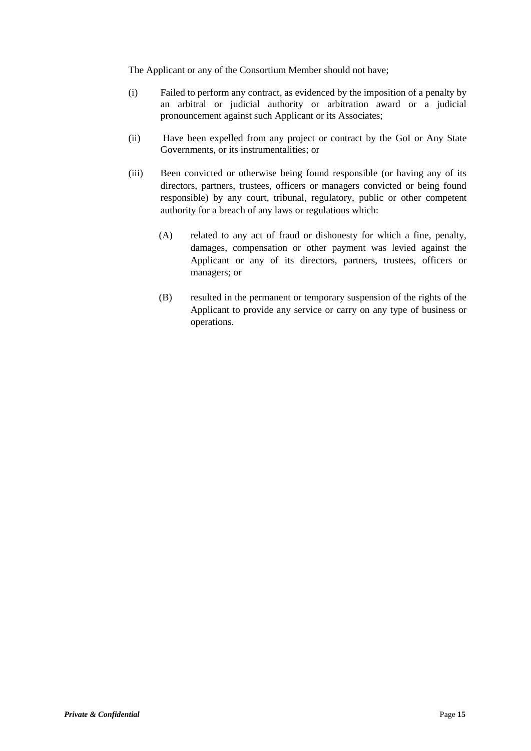The Applicant or any of the Consortium Member should not have;

- (i) Failed to perform any contract, as evidenced by the imposition of a penalty by an arbitral or judicial authority or arbitration award or a judicial pronouncement against such Applicant or its Associates;
- (ii) Have been expelled from any project or contract by the GoI or Any State Governments, or its instrumentalities; or
- (iii) Been convicted or otherwise being found responsible (or having any of its directors, partners, trustees, officers or managers convicted or being found responsible) by any court, tribunal, regulatory, public or other competent authority for a breach of any laws or regulations which:
	- (A) related to any act of fraud or dishonesty for which a fine, penalty, damages, compensation or other payment was levied against the Applicant or any of its directors, partners, trustees, officers or managers; or
	- (B) resulted in the permanent or temporary suspension of the rights of the Applicant to provide any service or carry on any type of business or operations.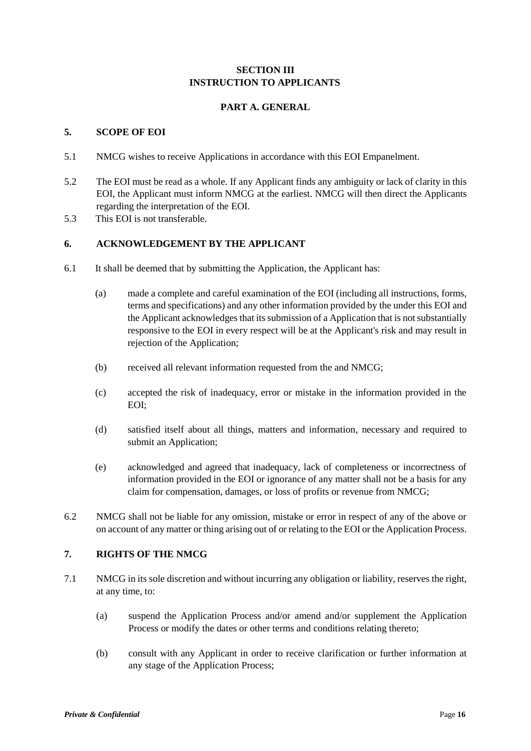## **SECTION III INSTRUCTION TO APPLICANTS**

## **PART A. GENERAL**

## <span id="page-15-0"></span>**5. SCOPE OF EOI**

- 5.1 NMCG wishes to receive Applications in accordance with this EOI Empanelment.
- 5.2 The EOI must be read as a whole. If any Applicant finds any ambiguity or lack of clarity in this EOI, the Applicant must inform NMCG at the earliest. NMCG will then direct the Applicants regarding the interpretation of the EOI.
- 5.3 This EOI is not transferable.

## **6. ACKNOWLEDGEMENT BY THE APPLICANT**

- 6.1 It shall be deemed that by submitting the Application, the Applicant has:
	- (a) made a complete and careful examination of the EOI (including all instructions, forms, terms and specifications) and any other information provided by the under this EOI and the Applicant acknowledges that its submission of a Application that is not substantially responsive to the EOI in every respect will be at the Applicant's risk and may result in rejection of the Application;
	- (b) received all relevant information requested from the and NMCG;
	- (c) accepted the risk of inadequacy, error or mistake in the information provided in the EOI;
	- (d) satisfied itself about all things, matters and information, necessary and required to submit an Application;
	- (e) acknowledged and agreed that inadequacy, lack of completeness or incorrectness of information provided in the EOI or ignorance of any matter shall not be a basis for any claim for compensation, damages, or loss of profits or revenue from NMCG;
- 6.2 NMCG shall not be liable for any omission, mistake or error in respect of any of the above or on account of any matter or thing arising out of or relating to the EOI or the Application Process.

### **7. RIGHTS OF THE NMCG**

- 7.1 NMCG in its sole discretion and without incurring any obligation or liability, reserves the right, at any time, to:
	- (a) suspend the Application Process and/or amend and/or supplement the Application Process or modify the dates or other terms and conditions relating thereto;
	- (b) consult with any Applicant in order to receive clarification or further information at any stage of the Application Process;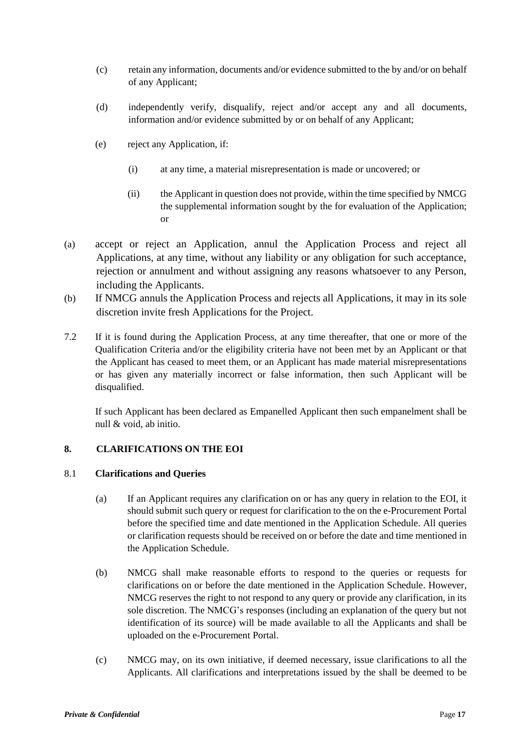- (c) retain any information, documents and/or evidence submitted to the by and/or on behalf of any Applicant;
- (d) independently verify, disqualify, reject and/or accept any and all documents, information and/or evidence submitted by or on behalf of any Applicant;
- (e) reject any Application, if:
	- (i) at any time, a material misrepresentation is made or uncovered; or
	- (ii) the Applicant in question does not provide, within the time specified by NMCG the supplemental information sought by the for evaluation of the Application; or
- (a) accept or reject an Application, annul the Application Process and reject all Applications, at any time, without any liability or any obligation for such acceptance, rejection or annulment and without assigning any reasons whatsoever to any Person, including the Applicants.
- (b) If NMCG annuls the Application Process and rejects all Applications, it may in its sole discretion invite fresh Applications for the Project.
- 7.2 If it is found during the Application Process, at any time thereafter, that one or more of the Qualification Criteria and/or the eligibility criteria have not been met by an Applicant or that the Applicant has ceased to meet them, or an Applicant has made material misrepresentations or has given any materially incorrect or false information, then such Applicant will be disqualified.

If such Applicant has been declared as Empanelled Applicant then such empanelment shall be null & void, ab initio.

## **8. CLARIFICATIONS ON THE EOI**

#### 8.1 **Clarifications and Queries**

- (a) If an Applicant requires any clarification on or has any query in relation to the EOI, it should submit such query or request for clarification to the on the e-Procurement Portal before the specified time and date mentioned in the Application Schedule. All queries or clarification requests should be received on or before the date and time mentioned in the Application Schedule.
- (b) NMCG shall make reasonable efforts to respond to the queries or requests for clarifications on or before the date mentioned in the Application Schedule. However, NMCG reserves the right to not respond to any query or provide any clarification, in its sole discretion. The NMCG's responses (including an explanation of the query but not identification of its source) will be made available to all the Applicants and shall be uploaded on the e-Procurement Portal.
- (c) NMCG may, on its own initiative, if deemed necessary, issue clarifications to all the Applicants. All clarifications and interpretations issued by the shall be deemed to be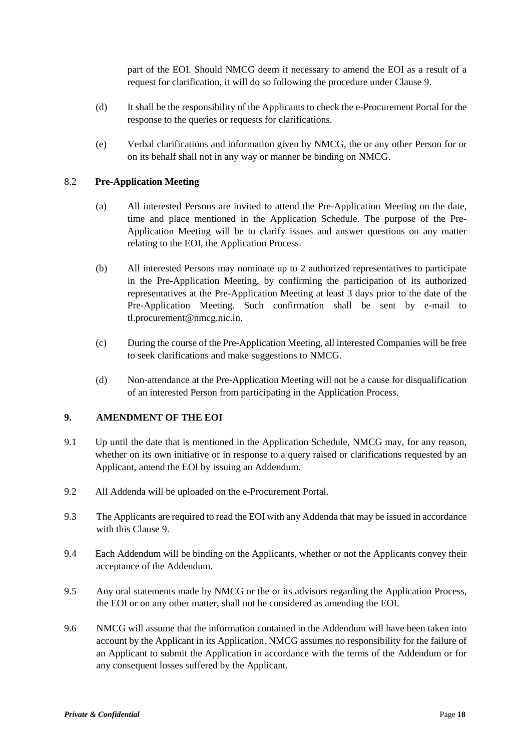part of the EOI. Should NMCG deem it necessary to amend the EOI as a result of a request for clarification, it will do so following the procedure under Clause 9.

- (d) It shall be the responsibility of the Applicants to check the e-Procurement Portal for the response to the queries or requests for clarifications.
- (e) Verbal clarifications and information given by NMCG, the or any other Person for or on its behalf shall not in any way or manner be binding on NMCG.

## 8.2 **Pre-Application Meeting**

- (a) All interested Persons are invited to attend the Pre-Application Meeting on the date, time and place mentioned in the Application Schedule. The purpose of the Pre-Application Meeting will be to clarify issues and answer questions on any matter relating to the EOI, the Application Process.
- (b) All interested Persons may nominate up to 2 authorized representatives to participate in the Pre-Application Meeting, by confirming the participation of its authorized representatives at the Pre-Application Meeting at least 3 days prior to the date of the Pre-Application Meeting. Such confirmation shall be sent by e-mail to tl.procurement@nmcg.nic.in.
- (c) During the course of the Pre-Application Meeting, all interested Companies will be free to seek clarifications and make suggestions to NMCG.
- (d) Non-attendance at the Pre-Application Meeting will not be a cause for disqualification of an interested Person from participating in the Application Process.

#### **9. AMENDMENT OF THE EOI**

- 9.1 Up until the date that is mentioned in the Application Schedule, NMCG may, for any reason, whether on its own initiative or in response to a query raised or clarifications requested by an Applicant, amend the EOI by issuing an Addendum.
- 9.2 All Addenda will be uploaded on the e-Procurement Portal.
- 9.3 The Applicants are required to read the EOI with any Addenda that may be issued in accordance with this Clause 9.
- 9.4 Each Addendum will be binding on the Applicants, whether or not the Applicants convey their acceptance of the Addendum.
- 9.5 Any oral statements made by NMCG or the or its advisors regarding the Application Process, the EOI or on any other matter, shall not be considered as amending the EOI.
- 9.6 NMCG will assume that the information contained in the Addendum will have been taken into account by the Applicant in its Application. NMCG assumes no responsibility for the failure of an Applicant to submit the Application in accordance with the terms of the Addendum or for any consequent losses suffered by the Applicant.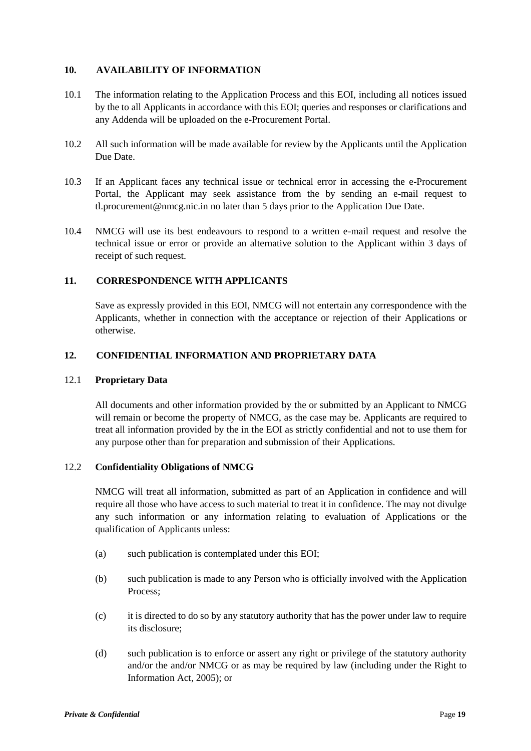## **10. AVAILABILITY OF INFORMATION**

- 10.1 The information relating to the Application Process and this EOI, including all notices issued by the to all Applicants in accordance with this EOI; queries and responses or clarifications and any Addenda will be uploaded on the e-Procurement Portal.
- 10.2 All such information will be made available for review by the Applicants until the Application Due Date.
- 10.3 If an Applicant faces any technical issue or technical error in accessing the e-Procurement Portal, the Applicant may seek assistance from the by sending an e-mail request to tl.procurement@nmcg.nic.in no later than 5 days prior to the Application Due Date.
- 10.4 NMCG will use its best endeavours to respond to a written e-mail request and resolve the technical issue or error or provide an alternative solution to the Applicant within 3 days of receipt of such request.

## **11. CORRESPONDENCE WITH APPLICANTS**

Save as expressly provided in this EOI, NMCG will not entertain any correspondence with the Applicants, whether in connection with the acceptance or rejection of their Applications or otherwise.

## **12. CONFIDENTIAL INFORMATION AND PROPRIETARY DATA**

#### 12.1 **Proprietary Data**

All documents and other information provided by the or submitted by an Applicant to NMCG will remain or become the property of NMCG, as the case may be. Applicants are required to treat all information provided by the in the EOI as strictly confidential and not to use them for any purpose other than for preparation and submission of their Applications.

#### 12.2 **Confidentiality Obligations of NMCG**

NMCG will treat all information, submitted as part of an Application in confidence and will require all those who have access to such material to treat it in confidence. The may not divulge any such information or any information relating to evaluation of Applications or the qualification of Applicants unless:

- (a) such publication is contemplated under this EOI;
- (b) such publication is made to any Person who is officially involved with the Application Process;
- (c) it is directed to do so by any statutory authority that has the power under law to require its disclosure;
- (d) such publication is to enforce or assert any right or privilege of the statutory authority and/or the and/or NMCG or as may be required by law (including under the Right to Information Act, 2005); or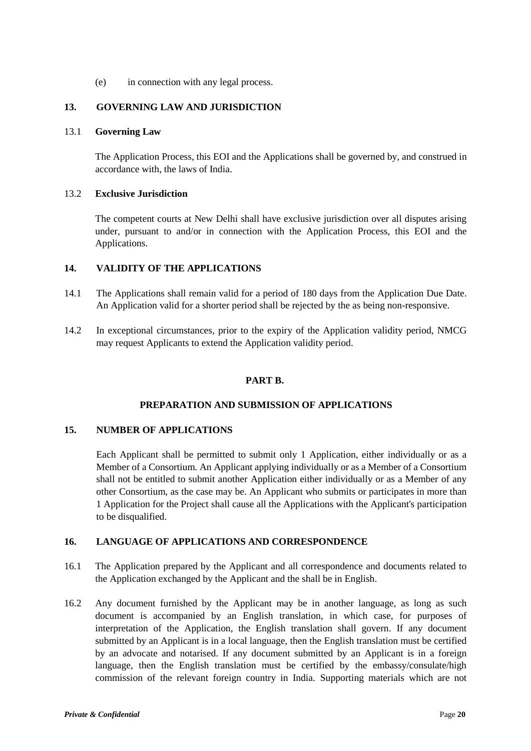(e) in connection with any legal process.

## **13. GOVERNING LAW AND JURISDICTION**

#### 13.1 **Governing Law**

The Application Process, this EOI and the Applications shall be governed by, and construed in accordance with, the laws of India.

#### 13.2 **Exclusive Jurisdiction**

The competent courts at New Delhi shall have exclusive jurisdiction over all disputes arising under, pursuant to and/or in connection with the Application Process, this EOI and the Applications.

## **14. VALIDITY OF THE APPLICATIONS**

- 14.1 The Applications shall remain valid for a period of 180 days from the Application Due Date. An Application valid for a shorter period shall be rejected by the as being non-responsive.
- 14.2 In exceptional circumstances, prior to the expiry of the Application validity period, NMCG may request Applicants to extend the Application validity period.

#### **PART B.**

#### **PREPARATION AND SUBMISSION OF APPLICATIONS**

#### <span id="page-19-0"></span>**15. NUMBER OF APPLICATIONS**

Each Applicant shall be permitted to submit only 1 Application, either individually or as a Member of a Consortium. An Applicant applying individually or as a Member of a Consortium shall not be entitled to submit another Application either individually or as a Member of any other Consortium, as the case may be. An Applicant who submits or participates in more than 1 Application for the Project shall cause all the Applications with the Applicant's participation to be disqualified.

#### **16. LANGUAGE OF APPLICATIONS AND CORRESPONDENCE**

- 16.1 The Application prepared by the Applicant and all correspondence and documents related to the Application exchanged by the Applicant and the shall be in English.
- 16.2 Any document furnished by the Applicant may be in another language, as long as such document is accompanied by an English translation, in which case, for purposes of interpretation of the Application, the English translation shall govern. If any document submitted by an Applicant is in a local language, then the English translation must be certified by an advocate and notarised. If any document submitted by an Applicant is in a foreign language, then the English translation must be certified by the embassy/consulate/high commission of the relevant foreign country in India. Supporting materials which are not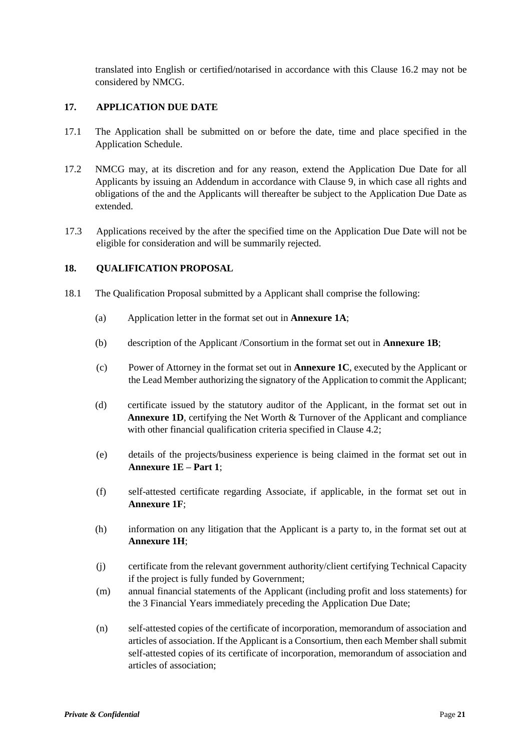translated into English or certified/notarised in accordance with this Clause 16.2 may not be considered by NMCG.

## **17. APPLICATION DUE DATE**

- 17.1 The Application shall be submitted on or before the date, time and place specified in the Application Schedule.
- 17.2 NMCG may, at its discretion and for any reason, extend the Application Due Date for all Applicants by issuing an Addendum in accordance with Clause 9, in which case all rights and obligations of the and the Applicants will thereafter be subject to the Application Due Date as extended.
- 17.3 Applications received by the after the specified time on the Application Due Date will not be eligible for consideration and will be summarily rejected.

## **18. QUALIFICATION PROPOSAL**

- 18.1 The Qualification Proposal submitted by a Applicant shall comprise the following:
	- (a) Application letter in the format set out in **Annexure 1A**;
	- (b) description of the Applicant /Consortium in the format set out in **Annexure 1B**;
	- (c) Power of Attorney in the format set out in **Annexure 1C**, executed by the Applicant or the Lead Member authorizing the signatory of the Application to commit the Applicant;
	- (d) certificate issued by the statutory auditor of the Applicant, in the format set out in **Annexure 1D**, certifying the Net Worth & Turnover of the Applicant and compliance with other financial qualification criteria specified in Clause 4.2;
	- (e) details of the projects/business experience is being claimed in the format set out in **Annexure 1E – Part 1**;
	- (f) self-attested certificate regarding Associate, if applicable, in the format set out in **Annexure 1F**;
	- (h) information on any litigation that the Applicant is a party to, in the format set out at **Annexure 1H**;
	- (j) certificate from the relevant government authority/client certifying Technical Capacity if the project is fully funded by Government;
	- (m) annual financial statements of the Applicant (including profit and loss statements) for the 3 Financial Years immediately preceding the Application Due Date;
	- (n) self-attested copies of the certificate of incorporation, memorandum of association and articles of association. If the Applicant is a Consortium, then each Member shall submit self-attested copies of its certificate of incorporation, memorandum of association and articles of association;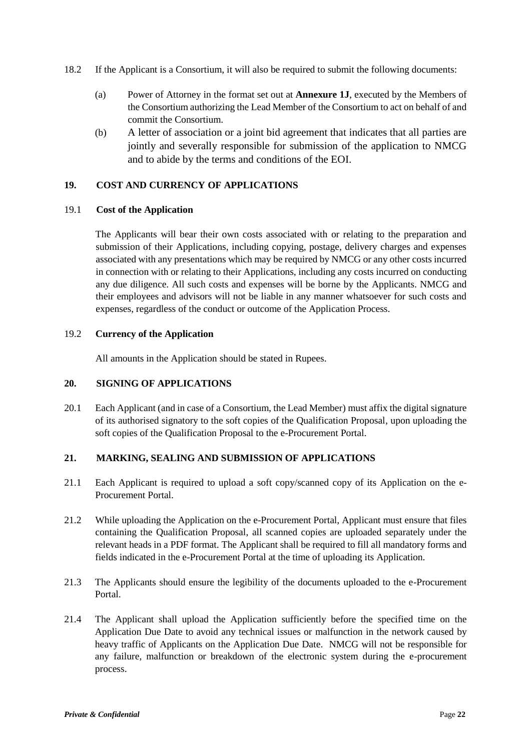- 18.2 If the Applicant is a Consortium, it will also be required to submit the following documents:
	- (a) Power of Attorney in the format set out at **Annexure 1J**, executed by the Members of the Consortium authorizing the Lead Member of the Consortium to act on behalf of and commit the Consortium.
	- (b) A letter of association or a joint bid agreement that indicates that all parties are jointly and severally responsible for submission of the application to NMCG and to abide by the terms and conditions of the EOI.

## **19. COST AND CURRENCY OF APPLICATIONS**

#### 19.1 **Cost of the Application**

The Applicants will bear their own costs associated with or relating to the preparation and submission of their Applications, including copying, postage, delivery charges and expenses associated with any presentations which may be required by NMCG or any other costs incurred in connection with or relating to their Applications, including any costs incurred on conducting any due diligence. All such costs and expenses will be borne by the Applicants. NMCG and their employees and advisors will not be liable in any manner whatsoever for such costs and expenses, regardless of the conduct or outcome of the Application Process.

## 19.2 **Currency of the Application**

All amounts in the Application should be stated in Rupees.

## **20. SIGNING OF APPLICATIONS**

20.1 Each Applicant (and in case of a Consortium, the Lead Member) must affix the digital signature of its authorised signatory to the soft copies of the Qualification Proposal, upon uploading the soft copies of the Qualification Proposal to the e-Procurement Portal.

## **21. MARKING, SEALING AND SUBMISSION OF APPLICATIONS**

- 21.1 Each Applicant is required to upload a soft copy/scanned copy of its Application on the e-Procurement Portal.
- 21.2 While uploading the Application on the e-Procurement Portal, Applicant must ensure that files containing the Qualification Proposal, all scanned copies are uploaded separately under the relevant heads in a PDF format. The Applicant shall be required to fill all mandatory forms and fields indicated in the e-Procurement Portal at the time of uploading its Application.
- 21.3 The Applicants should ensure the legibility of the documents uploaded to the e-Procurement Portal.
- 21.4 The Applicant shall upload the Application sufficiently before the specified time on the Application Due Date to avoid any technical issues or malfunction in the network caused by heavy traffic of Applicants on the Application Due Date. NMCG will not be responsible for any failure, malfunction or breakdown of the electronic system during the e-procurement process.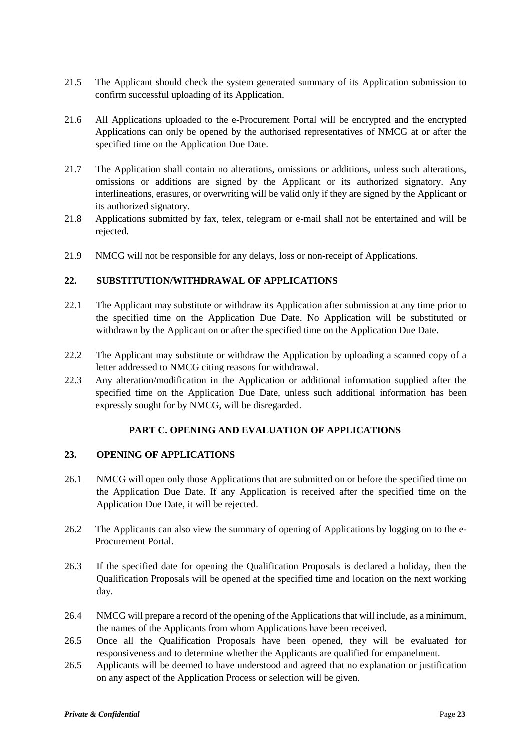- 21.5 The Applicant should check the system generated summary of its Application submission to confirm successful uploading of its Application.
- 21.6 All Applications uploaded to the e-Procurement Portal will be encrypted and the encrypted Applications can only be opened by the authorised representatives of NMCG at or after the specified time on the Application Due Date.
- 21.7 The Application shall contain no alterations, omissions or additions, unless such alterations, omissions or additions are signed by the Applicant or its authorized signatory. Any interlineations, erasures, or overwriting will be valid only if they are signed by the Applicant or its authorized signatory.
- 21.8 Applications submitted by fax, telex, telegram or e-mail shall not be entertained and will be rejected.
- 21.9 NMCG will not be responsible for any delays, loss or non-receipt of Applications.

## **22. SUBSTITUTION/WITHDRAWAL OF APPLICATIONS**

- 22.1 The Applicant may substitute or withdraw its Application after submission at any time prior to the specified time on the Application Due Date. No Application will be substituted or withdrawn by the Applicant on or after the specified time on the Application Due Date.
- 22.2 The Applicant may substitute or withdraw the Application by uploading a scanned copy of a letter addressed to NMCG citing reasons for withdrawal.
- <span id="page-22-0"></span>22.3 Any alteration/modification in the Application or additional information supplied after the specified time on the Application Due Date, unless such additional information has been expressly sought for by NMCG, will be disregarded.

#### **PART C. OPENING AND EVALUATION OF APPLICATIONS**

## **23. OPENING OF APPLICATIONS**

- 26.1 NMCG will open only those Applications that are submitted on or before the specified time on the Application Due Date. If any Application is received after the specified time on the Application Due Date, it will be rejected.
- 26.2 The Applicants can also view the summary of opening of Applications by logging on to the e-Procurement Portal.
- 26.3 If the specified date for opening the Qualification Proposals is declared a holiday, then the Qualification Proposals will be opened at the specified time and location on the next working day.
- 26.4 NMCG will prepare a record of the opening of the Applicationsthat will include, as a minimum, the names of the Applicants from whom Applications have been received.
- 26.5 Once all the Qualification Proposals have been opened, they will be evaluated for responsiveness and to determine whether the Applicants are qualified for empanelment.
- 26.5 Applicants will be deemed to have understood and agreed that no explanation or justification on any aspect of the Application Process or selection will be given.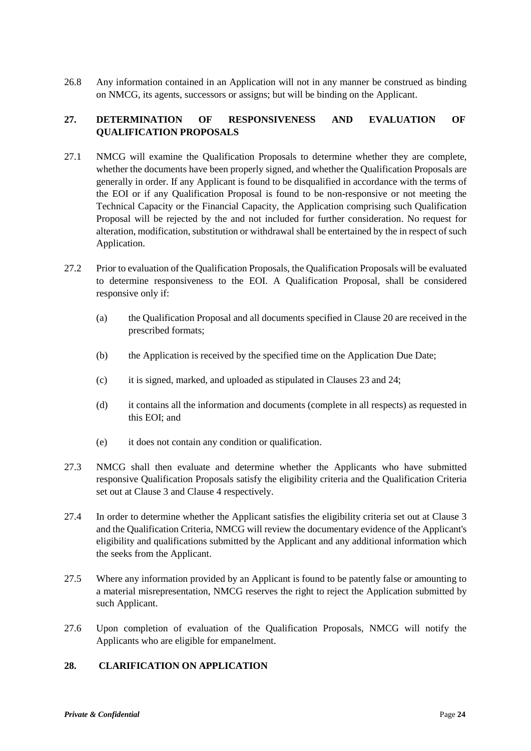26.8 Any information contained in an Application will not in any manner be construed as binding on NMCG, its agents, successors or assigns; but will be binding on the Applicant.

## **27. DETERMINATION OF RESPONSIVENESS AND EVALUATION OF QUALIFICATION PROPOSALS**

- 27.1 NMCG will examine the Qualification Proposals to determine whether they are complete, whether the documents have been properly signed, and whether the Qualification Proposals are generally in order. If any Applicant is found to be disqualified in accordance with the terms of the EOI or if any Qualification Proposal is found to be non-responsive or not meeting the Technical Capacity or the Financial Capacity, the Application comprising such Qualification Proposal will be rejected by the and not included for further consideration. No request for alteration, modification, substitution or withdrawal shall be entertained by the in respect of such Application.
- 27.2 Prior to evaluation of the Qualification Proposals, the Qualification Proposals will be evaluated to determine responsiveness to the EOI. A Qualification Proposal, shall be considered responsive only if:
	- (a) the Qualification Proposal and all documents specified in Clause 20 are received in the prescribed formats;
	- (b) the Application is received by the specified time on the Application Due Date;
	- (c) it is signed, marked, and uploaded as stipulated in Clauses 23 and 24;
	- (d) it contains all the information and documents (complete in all respects) as requested in this EOI; and
	- (e) it does not contain any condition or qualification.
- 27.3 NMCG shall then evaluate and determine whether the Applicants who have submitted responsive Qualification Proposals satisfy the eligibility criteria and the Qualification Criteria set out at Clause 3 and Clause 4 respectively.
- 27.4 In order to determine whether the Applicant satisfies the eligibility criteria set out at Clause 3 and the Qualification Criteria, NMCG will review the documentary evidence of the Applicant's eligibility and qualifications submitted by the Applicant and any additional information which the seeks from the Applicant.
- 27.5 Where any information provided by an Applicant is found to be patently false or amounting to a material misrepresentation, NMCG reserves the right to reject the Application submitted by such Applicant.
- 27.6 Upon completion of evaluation of the Qualification Proposals, NMCG will notify the Applicants who are eligible for empanelment.

## **28. CLARIFICATION ON APPLICATION**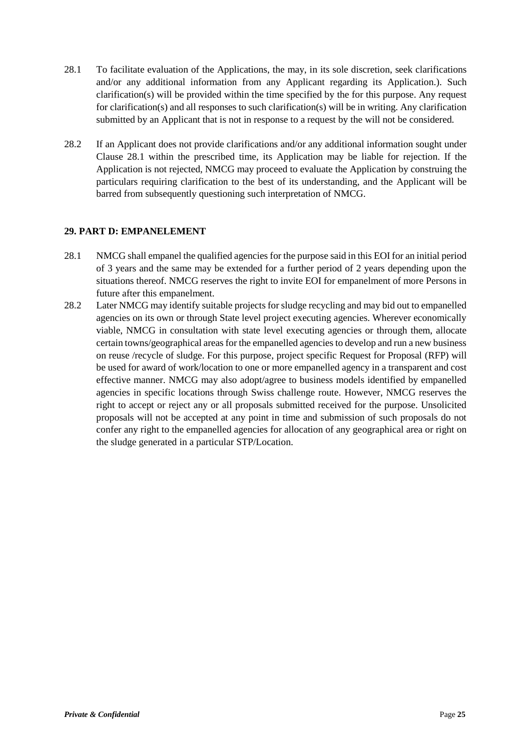- 28.1 To facilitate evaluation of the Applications, the may, in its sole discretion, seek clarifications and/or any additional information from any Applicant regarding its Application.). Such clarification(s) will be provided within the time specified by the for this purpose. Any request for clarification(s) and all responses to such clarification(s) will be in writing. Any clarification submitted by an Applicant that is not in response to a request by the will not be considered.
- 28.2 If an Applicant does not provide clarifications and/or any additional information sought under Clause 28.1 within the prescribed time, its Application may be liable for rejection. If the Application is not rejected, NMCG may proceed to evaluate the Application by construing the particulars requiring clarification to the best of its understanding, and the Applicant will be barred from subsequently questioning such interpretation of NMCG.

## <span id="page-24-0"></span>**29. PART D: EMPANELEMENT**

- 28.1 NMCG shall empanel the qualified agencies for the purpose said in this EOI for an initial period of 3 years and the same may be extended for a further period of 2 years depending upon the situations thereof. NMCG reserves the right to invite EOI for empanelment of more Persons in future after this empanelment.
- 28.2 Later NMCG may identify suitable projects for sludge recycling and may bid out to empanelled agencies on its own or through State level project executing agencies. Wherever economically viable, NMCG in consultation with state level executing agencies or through them, allocate certain towns/geographical areas for the empanelled agencies to develop and run a new business on reuse /recycle of sludge. For this purpose, project specific Request for Proposal (RFP) will be used for award of work/location to one or more empanelled agency in a transparent and cost effective manner. NMCG may also adopt/agree to business models identified by empanelled agencies in specific locations through Swiss challenge route. However, NMCG reserves the right to accept or reject any or all proposals submitted received for the purpose. Unsolicited proposals will not be accepted at any point in time and submission of such proposals do not confer any right to the empanelled agencies for allocation of any geographical area or right on the sludge generated in a particular STP/Location.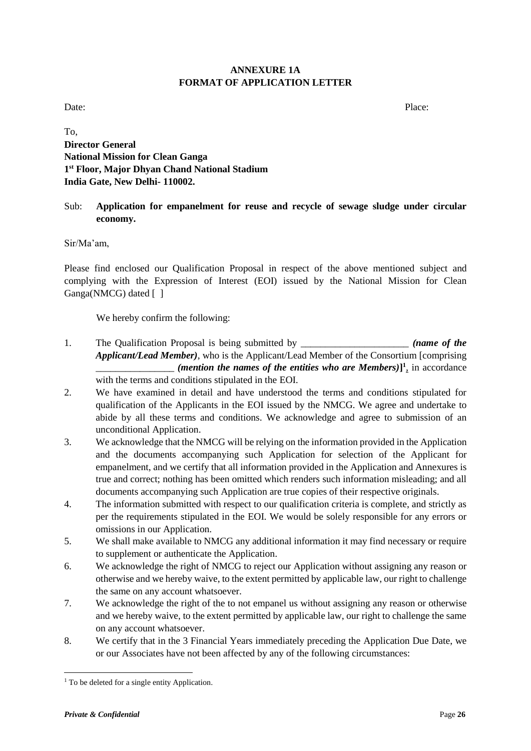## **ANNEXURE 1A FORMAT OF APPLICATION LETTER**

Date: Place:

To, **Director General National Mission for Clean Ganga 1 st Floor, Major Dhyan Chand National Stadium India Gate, New Delhi- 110002.**

## Sub: **Application for empanelment for reuse and recycle of sewage sludge under circular economy.**

Sir/Ma'am,

Please find enclosed our Qualification Proposal in respect of the above mentioned subject and complying with the Expression of Interest (EOI) issued by the National Mission for Clean Ganga(NMCG) dated []

We hereby confirm the following:

- 1. The Qualification Proposal is being submitted by \_\_\_\_\_\_\_\_\_\_\_\_\_\_\_\_\_\_\_\_\_\_ *(name of the Applicant/Lead Member)*, who is the Applicant/Lead Member of the Consortium [comprising \_\_\_\_\_\_\_\_\_\_\_\_\_\_\_\_ *(mention the names of the entities who are Members)***] 1** *,* in accordance with the terms and conditions stipulated in the EOI.
- 2. We have examined in detail and have understood the terms and conditions stipulated for qualification of the Applicants in the EOI issued by the NMCG. We agree and undertake to abide by all these terms and conditions. We acknowledge and agree to submission of an unconditional Application.
- 3. We acknowledge that the NMCG will be relying on the information provided in the Application and the documents accompanying such Application for selection of the Applicant for empanelment, and we certify that all information provided in the Application and Annexures is true and correct; nothing has been omitted which renders such information misleading; and all documents accompanying such Application are true copies of their respective originals.
- 4. The information submitted with respect to our qualification criteria is complete, and strictly as per the requirements stipulated in the EOI. We would be solely responsible for any errors or omissions in our Application.
- 5. We shall make available to NMCG any additional information it may find necessary or require to supplement or authenticate the Application.
- 6. We acknowledge the right of NMCG to reject our Application without assigning any reason or otherwise and we hereby waive, to the extent permitted by applicable law, our right to challenge the same on any account whatsoever.
- 7. We acknowledge the right of the to not empanel us without assigning any reason or otherwise and we hereby waive, to the extent permitted by applicable law, our right to challenge the same on any account whatsoever.
- 8. We certify that in the 3 Financial Years immediately preceding the Application Due Date, we or our Associates have not been affected by any of the following circumstances:

**<sup>.</sup>** <sup>1</sup> To be deleted for a single entity Application.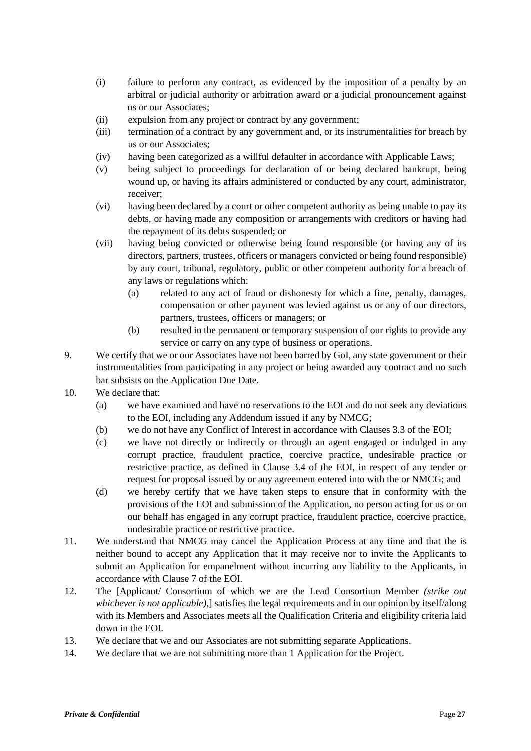- (i) failure to perform any contract, as evidenced by the imposition of a penalty by an arbitral or judicial authority or arbitration award or a judicial pronouncement against us or our Associates;
- (ii) expulsion from any project or contract by any government;
- (iii) termination of a contract by any government and, or its instrumentalities for breach by us or our Associates;
- (iv) having been categorized as a willful defaulter in accordance with Applicable Laws;
- (v) being subject to proceedings for declaration of or being declared bankrupt, being wound up, or having its affairs administered or conducted by any court, administrator, receiver;
- (vi) having been declared by a court or other competent authority as being unable to pay its debts, or having made any composition or arrangements with creditors or having had the repayment of its debts suspended; or
- (vii) having being convicted or otherwise being found responsible (or having any of its directors, partners, trustees, officers or managers convicted or being found responsible) by any court, tribunal, regulatory, public or other competent authority for a breach of any laws or regulations which:
	- (a) related to any act of fraud or dishonesty for which a fine, penalty, damages, compensation or other payment was levied against us or any of our directors, partners, trustees, officers or managers; or
	- (b) resulted in the permanent or temporary suspension of our rights to provide any service or carry on any type of business or operations.
- 9. We certify that we or our Associates have not been barred by GoI, any state government or their instrumentalities from participating in any project or being awarded any contract and no such bar subsists on the Application Due Date.
- 10. We declare that:
	- (a) we have examined and have no reservations to the EOI and do not seek any deviations to the EOI, including any Addendum issued if any by NMCG;
	- (b) we do not have any Conflict of Interest in accordance with Clauses 3.3 of the EOI;
	- (c) we have not directly or indirectly or through an agent engaged or indulged in any corrupt practice, fraudulent practice, coercive practice, undesirable practice or restrictive practice, as defined in Clause 3.4 of the EOI, in respect of any tender or request for proposal issued by or any agreement entered into with the or NMCG; and
	- (d) we hereby certify that we have taken steps to ensure that in conformity with the provisions of the EOI and submission of the Application, no person acting for us or on our behalf has engaged in any corrupt practice, fraudulent practice, coercive practice, undesirable practice or restrictive practice.
- 11. We understand that NMCG may cancel the Application Process at any time and that the is neither bound to accept any Application that it may receive nor to invite the Applicants to submit an Application for empanelment without incurring any liability to the Applicants, in accordance with Clause 7 of the EOI.
- 12. The [Applicant/ Consortium of which we are the Lead Consortium Member *(strike out whichever is not applicable),*] satisfies the legal requirements and in our opinion by itself/along with its Members and Associates meets all the Qualification Criteria and eligibility criteria laid down in the EOI.
- 13. We declare that we and our Associates are not submitting separate Applications.
- 14. We declare that we are not submitting more than 1 Application for the Project.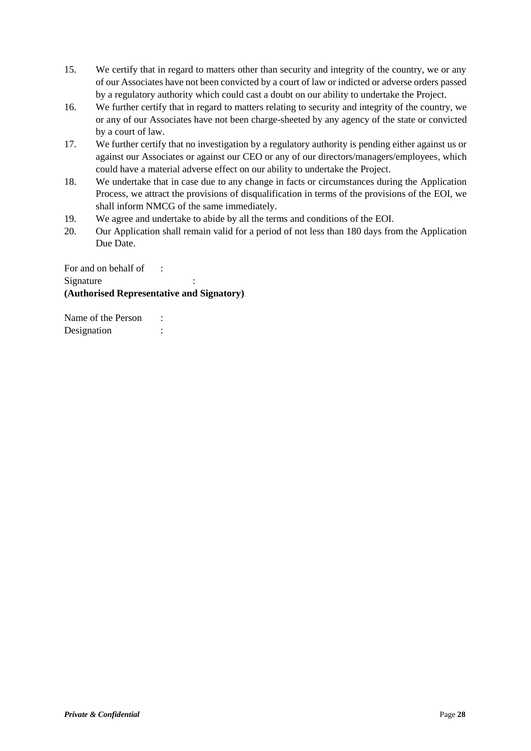- 15. We certify that in regard to matters other than security and integrity of the country, we or any of our Associates have not been convicted by a court of law or indicted or adverse orders passed by a regulatory authority which could cast a doubt on our ability to undertake the Project.
- 16. We further certify that in regard to matters relating to security and integrity of the country, we or any of our Associates have not been charge-sheeted by any agency of the state or convicted by a court of law.
- 17. We further certify that no investigation by a regulatory authority is pending either against us or against our Associates or against our CEO or any of our directors/managers/employees, which could have a material adverse effect on our ability to undertake the Project.
- 18. We undertake that in case due to any change in facts or circumstances during the Application Process, we attract the provisions of disqualification in terms of the provisions of the EOI, we shall inform NMCG of the same immediately.
- 19. We agree and undertake to abide by all the terms and conditions of the EOI.
- 20. Our Application shall remain valid for a period of not less than 180 days from the Application Due Date.

For and on behalf of : Signature **(Authorised Representative and Signatory)**

Name of the Person : Designation :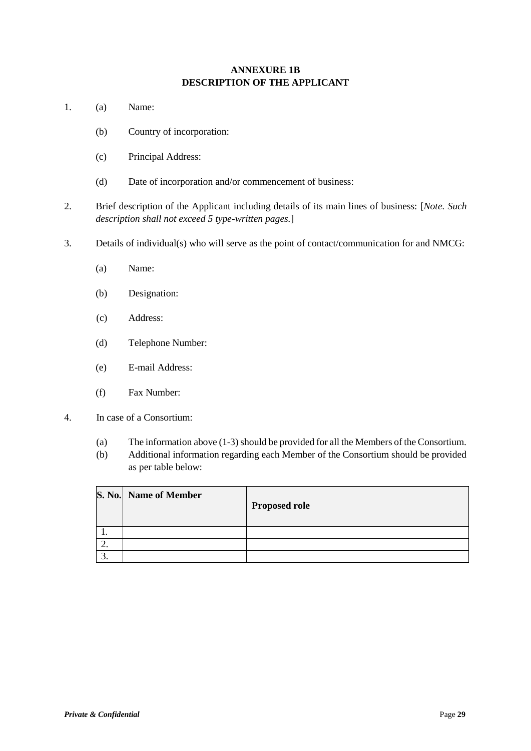## **ANNEXURE 1B DESCRIPTION OF THE APPLICANT**

- 1. (a) Name:
	- (b) Country of incorporation:
	- (c) Principal Address:
	- (d) Date of incorporation and/or commencement of business:
- 2. Brief description of the Applicant including details of its main lines of business: [*Note. Such description shall not exceed 5 type-written pages.*]
- 3. Details of individual(s) who will serve as the point of contact/communication for and NMCG:
	- (a) Name:
	- (b) Designation:
	- (c) Address:
	- (d) Telephone Number:
	- (e) E-mail Address:
	- (f) Fax Number:
- 4. In case of a Consortium:
	- (a) The information above (1-3) should be provided for all the Members of the Consortium.
	- (b) Additional information regarding each Member of the Consortium should be provided as per table below:

|           | S. No. Name of Member | <b>Proposed role</b> |
|-----------|-----------------------|----------------------|
| . .       |                       |                      |
| <u>L.</u> |                       |                      |
|           |                       |                      |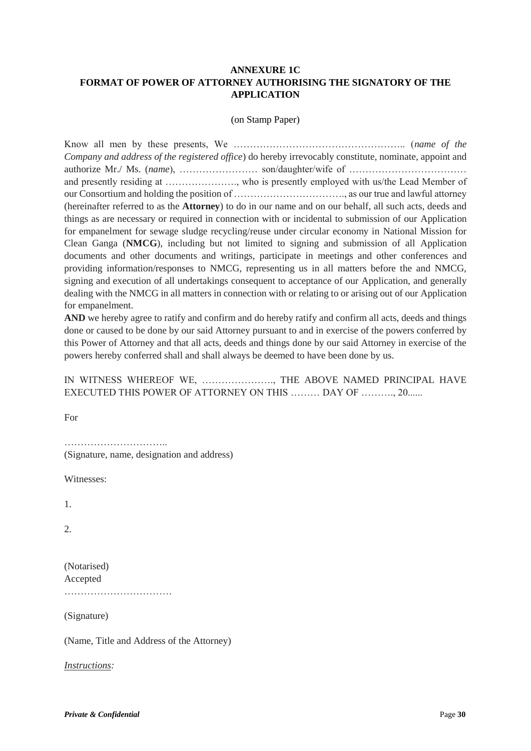## **ANNEXURE 1C FORMAT OF POWER OF ATTORNEY AUTHORISING THE SIGNATORY OF THE APPLICATION**

#### (on Stamp Paper)

Know all men by these presents, We …………………………………………….. (*name of the Company and address of the registered office*) do hereby irrevocably constitute, nominate, appoint and authorize Mr./ Ms. (*name*), …………………… son/daughter/wife of ……………………………… and presently residing at …………………., who is presently employed with us/the Lead Member of our Consortium and holding the position of ……………………………., as our true and lawful attorney (hereinafter referred to as the **Attorney**) to do in our name and on our behalf, all such acts, deeds and things as are necessary or required in connection with or incidental to submission of our Application for empanelment for sewage sludge recycling/reuse under circular economy in National Mission for Clean Ganga (**NMCG**), including but not limited to signing and submission of all Application documents and other documents and writings, participate in meetings and other conferences and providing information/responses to NMCG, representing us in all matters before the and NMCG, signing and execution of all undertakings consequent to acceptance of our Application, and generally dealing with the NMCG in all matters in connection with or relating to or arising out of our Application for empanelment.

**AND** we hereby agree to ratify and confirm and do hereby ratify and confirm all acts, deeds and things done or caused to be done by our said Attorney pursuant to and in exercise of the powers conferred by this Power of Attorney and that all acts, deeds and things done by our said Attorney in exercise of the powers hereby conferred shall and shall always be deemed to have been done by us.

|  | IN WITNESS WHEREOF WE, , THE ABOVE NAMED PRINCIPAL HAVE |  |  |  |
|--|---------------------------------------------------------|--|--|--|
|  | EXECUTED THIS POWER OF ATTORNEY ON THIS  DAY OF , 20    |  |  |  |

For

………………………….. (Signature, name, designation and address)

Witnesses:

1.

 $2^{\circ}$ 

(Notarised) Accepted ……………………………

(Signature)

(Name, Title and Address of the Attorney)

*Instructions:*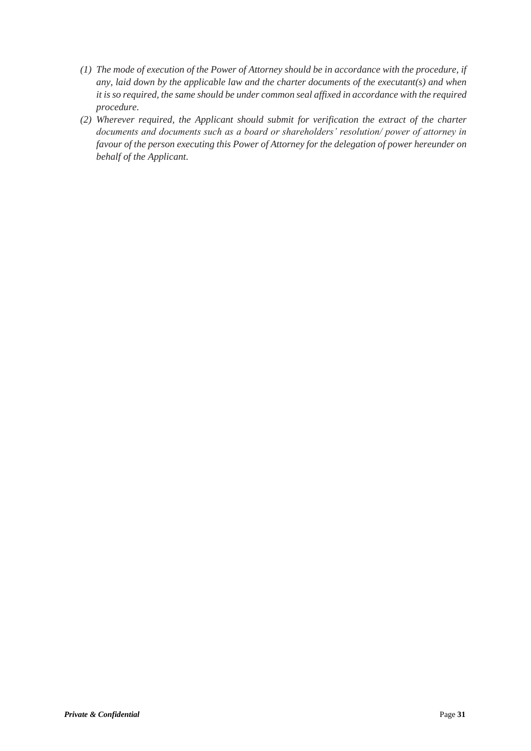- *(1) The mode of execution of the Power of Attorney should be in accordance with the procedure, if any, laid down by the applicable law and the charter documents of the executant(s) and when it is so required, the same should be under common seal affixed in accordance with the required procedure.*
- *(2) Wherever required, the Applicant should submit for verification the extract of the charter documents and documents such as a board or shareholders' resolution/ power of attorney in favour of the person executing this Power of Attorney for the delegation of power hereunder on behalf of the Applicant.*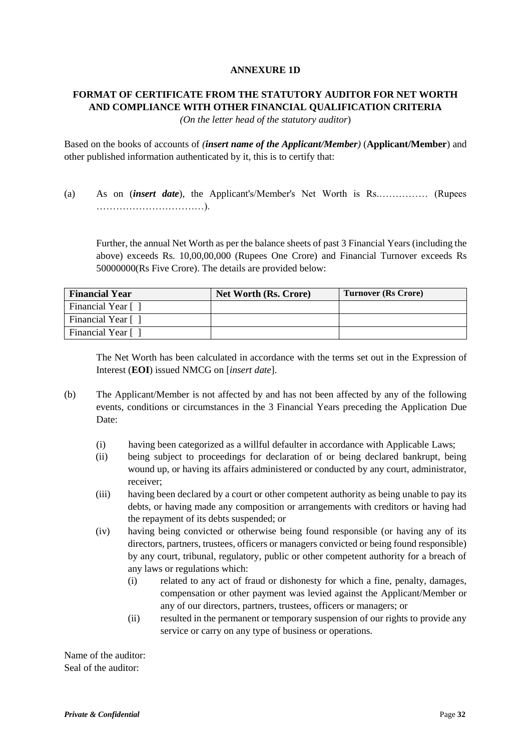## **ANNEXURE 1D**

# **FORMAT OF CERTIFICATE FROM THE STATUTORY AUDITOR FOR NET WORTH AND COMPLIANCE WITH OTHER FINANCIAL QUALIFICATION CRITERIA**

*(On the letter head of the statutory auditor*)

Based on the books of accounts of *(insert name of the Applicant/Member)* (**Applicant/Member**) and other published information authenticated by it, this is to certify that:

(a) As on (*insert date*), the Applicant's/Member's Net Worth is Rs.…………… (Rupees ……………………………).

Further, the annual Net Worth as per the balance sheets of past 3 Financial Years (including the above) exceeds Rs. 10,00,00,000 (Rupees One Crore) and Financial Turnover exceeds Rs 50000000(Rs Five Crore). The details are provided below:

| <b>Financial Year</b> | <b>Net Worth (Rs. Crore)</b> | Turnover (Rs Crore) |  |
|-----------------------|------------------------------|---------------------|--|
| Financial Year [      |                              |                     |  |
| Financial Year [      |                              |                     |  |
| Financial Year [      |                              |                     |  |

The Net Worth has been calculated in accordance with the terms set out in the Expression of Interest (**EOI**) issued NMCG on [*insert date*].

- (b) The Applicant/Member is not affected by and has not been affected by any of the following events, conditions or circumstances in the 3 Financial Years preceding the Application Due Date:
	- (i) having been categorized as a willful defaulter in accordance with Applicable Laws;
	- (ii) being subject to proceedings for declaration of or being declared bankrupt, being wound up, or having its affairs administered or conducted by any court, administrator, receiver;
	- (iii) having been declared by a court or other competent authority as being unable to pay its debts, or having made any composition or arrangements with creditors or having had the repayment of its debts suspended; or
	- (iv) having being convicted or otherwise being found responsible (or having any of its directors, partners, trustees, officers or managers convicted or being found responsible) by any court, tribunal, regulatory, public or other competent authority for a breach of any laws or regulations which:
		- (i) related to any act of fraud or dishonesty for which a fine, penalty, damages, compensation or other payment was levied against the Applicant/Member or any of our directors, partners, trustees, officers or managers; or
		- (ii) resulted in the permanent or temporary suspension of our rights to provide any service or carry on any type of business or operations.

Name of the auditor: Seal of the auditor: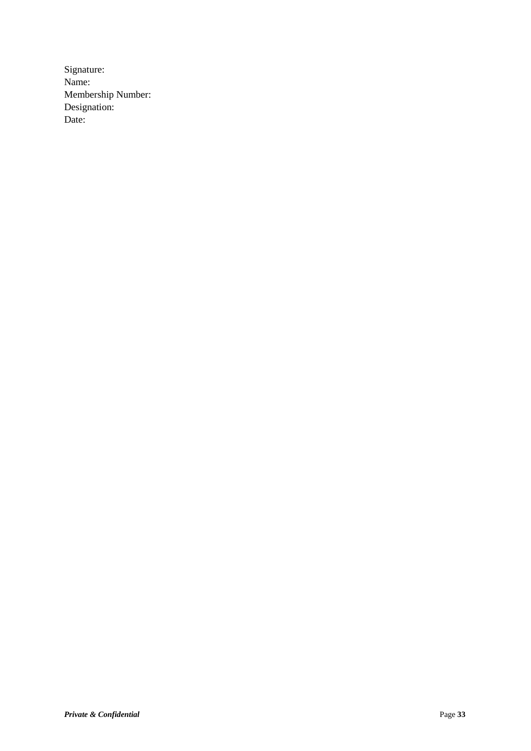Signature: Name: Membership Number: Designation: Date: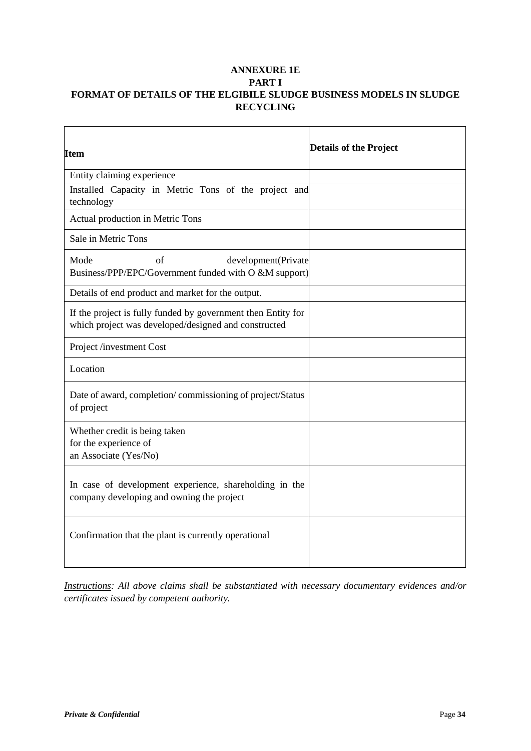## **ANNEXURE 1E PART I FORMAT OF DETAILS OF THE ELGIBILE SLUDGE BUSINESS MODELS IN SLUDGE RECYCLING**

| Item                                                                                                                 | <b>Details of the Project</b> |
|----------------------------------------------------------------------------------------------------------------------|-------------------------------|
| Entity claiming experience                                                                                           |                               |
| Installed Capacity in Metric Tons of the project and<br>technology                                                   |                               |
| Actual production in Metric Tons                                                                                     |                               |
| Sale in Metric Tons                                                                                                  |                               |
| Mode<br>of<br>development(Private<br>Business/PPP/EPC/Government funded with O &M support)                           |                               |
| Details of end product and market for the output.                                                                    |                               |
| If the project is fully funded by government then Entity for<br>which project was developed/designed and constructed |                               |
| Project /investment Cost                                                                                             |                               |
| Location                                                                                                             |                               |
| Date of award, completion/commissioning of project/Status<br>of project                                              |                               |
| Whether credit is being taken<br>for the experience of<br>an Associate (Yes/No)                                      |                               |
| In case of development experience, shareholding in the<br>company developing and owning the project                  |                               |
| Confirmation that the plant is currently operational                                                                 |                               |

*Instructions: All above claims shall be substantiated with necessary documentary evidences and/or certificates issued by competent authority.*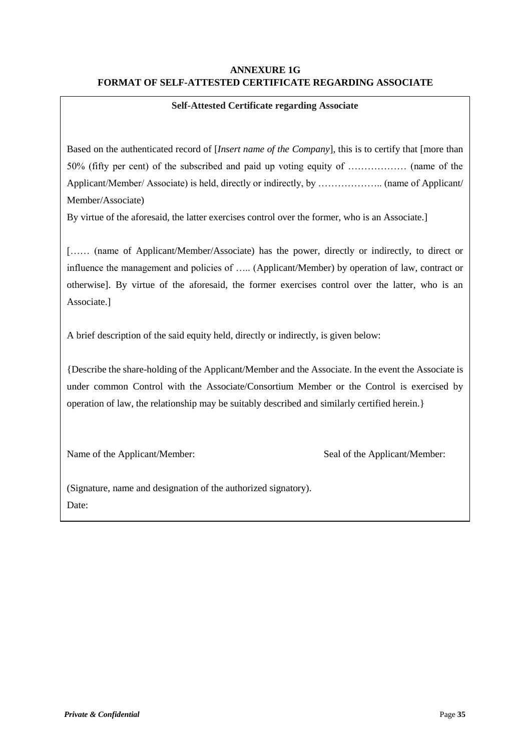## **ANNEXURE 1G FORMAT OF SELF-ATTESTED CERTIFICATE REGARDING ASSOCIATE**

### **Self-Attested Certificate regarding Associate**

Based on the authenticated record of [*Insert name of the Company*], this is to certify that [more than 50% (fifty per cent) of the subscribed and paid up voting equity of ……………… (name of the Applicant/Member/ Associate) is held, directly or indirectly, by ……………….. (name of Applicant/ Member/Associate)

By virtue of the aforesaid, the latter exercises control over the former, who is an Associate.]

[…… (name of Applicant/Member/Associate) has the power, directly or indirectly, to direct or influence the management and policies of ….. (Applicant/Member) by operation of law, contract or otherwise]. By virtue of the aforesaid, the former exercises control over the latter, who is an Associate.]

A brief description of the said equity held, directly or indirectly, is given below:

{Describe the share-holding of the Applicant/Member and the Associate. In the event the Associate is under common Control with the Associate/Consortium Member or the Control is exercised by operation of law, the relationship may be suitably described and similarly certified herein.}

Name of the Applicant/Member: Seal of the Applicant/Member:

(Signature, name and designation of the authorized signatory). Date: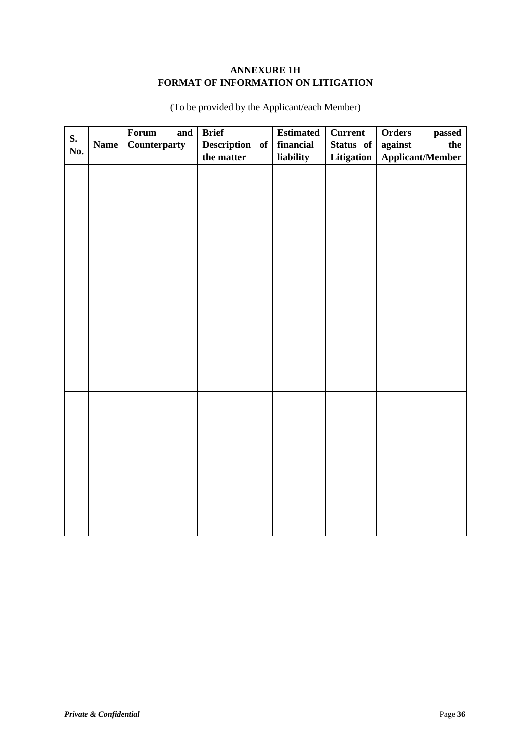## **ANNEXURE 1H FORMAT OF INFORMATION ON LITIGATION**

|     |             | Forum<br>and | <b>Brief</b>   | <b>Estimated</b> | <b>Current</b> | Orders<br>passed        |
|-----|-------------|--------------|----------------|------------------|----------------|-------------------------|
| S.  | <b>Name</b> | Counterparty | Description of | financial        | Status of      | against<br>the          |
| No. |             |              | the matter     | liability        | Litigation     | <b>Applicant/Member</b> |
|     |             |              |                |                  |                |                         |
|     |             |              |                |                  |                |                         |
|     |             |              |                |                  |                |                         |
|     |             |              |                |                  |                |                         |
|     |             |              |                |                  |                |                         |
|     |             |              |                |                  |                |                         |
|     |             |              |                |                  |                |                         |
|     |             |              |                |                  |                |                         |
|     |             |              |                |                  |                |                         |
|     |             |              |                |                  |                |                         |
|     |             |              |                |                  |                |                         |
|     |             |              |                |                  |                |                         |
|     |             |              |                |                  |                |                         |
|     |             |              |                |                  |                |                         |
|     |             |              |                |                  |                |                         |
|     |             |              |                |                  |                |                         |
|     |             |              |                |                  |                |                         |
|     |             |              |                |                  |                |                         |
|     |             |              |                |                  |                |                         |
|     |             |              |                |                  |                |                         |
|     |             |              |                |                  |                |                         |
|     |             |              |                |                  |                |                         |
|     |             |              |                |                  |                |                         |
|     |             |              |                |                  |                |                         |
|     |             |              |                |                  |                |                         |
|     |             |              |                |                  |                |                         |
|     |             |              |                |                  |                |                         |
|     |             |              |                |                  |                |                         |
|     |             |              |                |                  |                |                         |
|     |             |              |                |                  |                |                         |

(To be provided by the Applicant/each Member)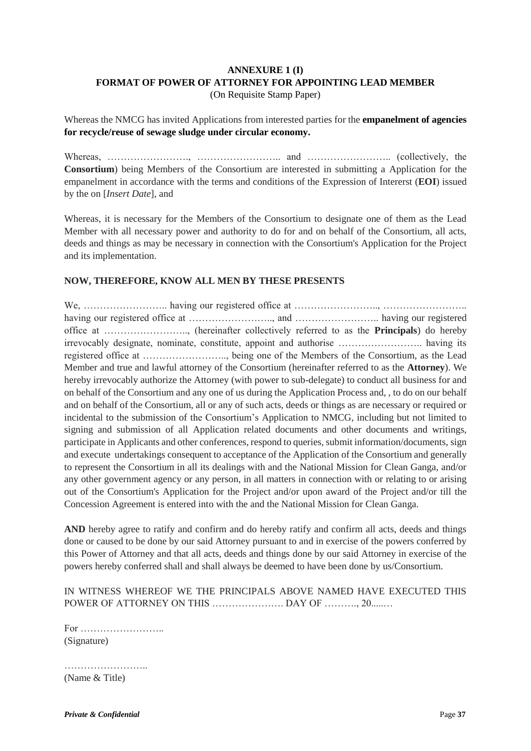## **ANNEXURE 1 (I) FORMAT OF POWER OF ATTORNEY FOR APPOINTING LEAD MEMBER** (On Requisite Stamp Paper)

Whereas the NMCG has invited Applications from interested parties for the **empanelment of agencies for recycle/reuse of sewage sludge under circular economy.**

Whereas, ……………………., …………………….. and …………………….. (collectively, the **Consortium**) being Members of the Consortium are interested in submitting a Application for the empanelment in accordance with the terms and conditions of the Expression of Intererst (**EOI**) issued by the on [*Insert Date*], and

Whereas, it is necessary for the Members of the Consortium to designate one of them as the Lead Member with all necessary power and authority to do for and on behalf of the Consortium, all acts, deeds and things as may be necessary in connection with the Consortium's Application for the Project and its implementation.

#### **NOW, THEREFORE, KNOW ALL MEN BY THESE PRESENTS**

We, …………………….. having our registered office at …………………….., …………………….. having our registered office at …………………….., and …………………….. having our registered office at …………………….., (hereinafter collectively referred to as the **Principals**) do hereby irrevocably designate, nominate, constitute, appoint and authorise …………………….. having its registered office at …………………….., being one of the Members of the Consortium, as the Lead Member and true and lawful attorney of the Consortium (hereinafter referred to as the **Attorney**). We hereby irrevocably authorize the Attorney (with power to sub-delegate) to conduct all business for and on behalf of the Consortium and any one of us during the Application Process and, , to do on our behalf and on behalf of the Consortium, all or any of such acts, deeds or things as are necessary or required or incidental to the submission of the Consortium's Application to NMCG, including but not limited to signing and submission of all Application related documents and other documents and writings, participate in Applicants and other conferences, respond to queries, submit information/documents, sign and execute undertakings consequent to acceptance of the Application of the Consortium and generally to represent the Consortium in all its dealings with and the National Mission for Clean Ganga, and/or any other government agency or any person, in all matters in connection with or relating to or arising out of the Consortium's Application for the Project and/or upon award of the Project and/or till the Concession Agreement is entered into with the and the National Mission for Clean Ganga.

**AND** hereby agree to ratify and confirm and do hereby ratify and confirm all acts, deeds and things done or caused to be done by our said Attorney pursuant to and in exercise of the powers conferred by this Power of Attorney and that all acts, deeds and things done by our said Attorney in exercise of the powers hereby conferred shall and shall always be deemed to have been done by us/Consortium.

IN WITNESS WHEREOF WE THE PRINCIPALS ABOVE NAMED HAVE EXECUTED THIS POWER OF ATTORNEY ON THIS ………………………… DAY OF ………… 20………

For …………………….. (Signature)

……………………………… (Name & Title)

*Private & Confidential* Page 37